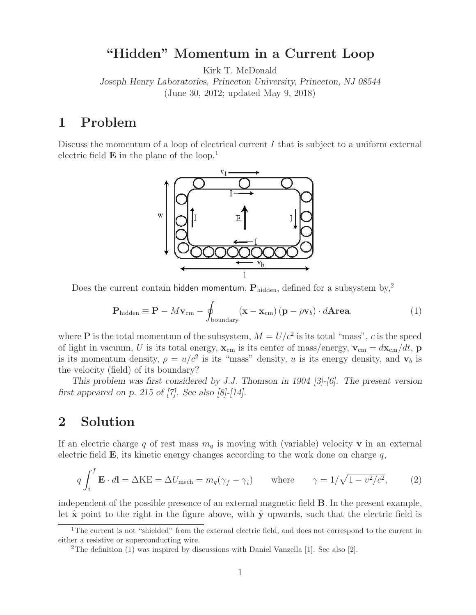## **"Hidden" Momentum in a Current Loop**

Kirk T. McDonald

*Joseph Henry Laboratories, Princeton University, Princeton, NJ 08544* (June 30, 2012; updated May 9, 2018)

## **1 Problem**

Discuss the momentum of a loop of electrical current I that is subject to a uniform external electric field **E** in the plane of the loop.<sup>1</sup>



Does the current contain hidden momentum,  $P_{hidden}$ , defined for a subsystem by,<sup>2</sup>

$$
\mathbf{P}_{\text{hidden}} \equiv \mathbf{P} - M\mathbf{v}_{\text{cm}} - \oint_{\text{boundary}} (\mathbf{x} - \mathbf{x}_{\text{cm}}) (\mathbf{p} - \rho \mathbf{v}_b) \cdot d\mathbf{Area}, \tag{1}
$$

where **P** is the total momentum of the subsystem,  $M = U/c^2$  is its total "mass", c is the speed of light in vacuum, U is its total energy,  $\mathbf{x}_{cm}$  is its center of mass/energy,  $\mathbf{v}_{cm} = d\mathbf{x}_{cm}/dt$ ,  $\mathbf{p}$ is its momentum density,  $\rho = u/c^2$  is its "mass" density, u is its energy density, and  $\mathbf{v}_b$  is the velocity (field) of its boundary?

*This problem was first considered by J.J. Thomson in 1904 [3]-[6]. The present version first appeared on p. 215 of [7]. See also [8]-[14].*

# **2 Solution**

If an electric charge q of rest mass  $m_q$  is moving with (variable) velocity **v** in an external electric field  $\bf{E}$ , its kinetic energy changes according to the work done on charge q,

$$
q \int_{i}^{f} \mathbf{E} \cdot d\mathbf{l} = \Delta \mathbf{K} \mathbf{E} = \Delta U_{\text{mech}} = m_q(\gamma_f - \gamma_i) \quad \text{where} \quad \gamma = 1/\sqrt{1 - v^2/c^2}, \tag{2}
$$

independent of the possible presence of an external magnetic field **B**. In the present example, let  $\hat{\mathbf{x}}$  point to the right in the figure above, with  $\hat{\mathbf{y}}$  upwards, such that the electric field is

<sup>&</sup>lt;sup>1</sup>The current is not "shielded" from the external electric field, and does not correspond to the current in either a resistive or superconducting wire.

<sup>&</sup>lt;sup>2</sup>The definition (1) was inspired by discussions with Daniel Vanzella [1]. See also [2].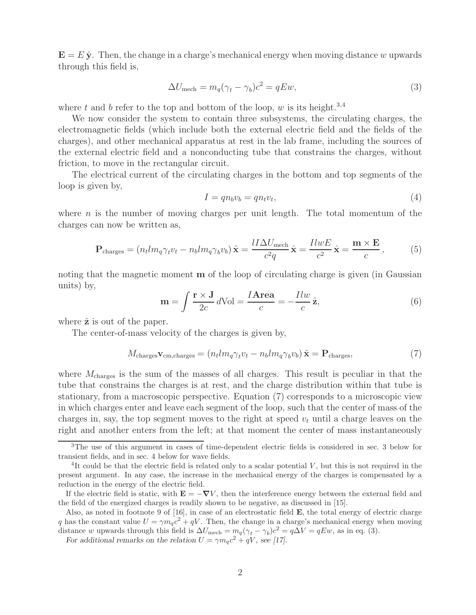$\mathbf{E} = E \hat{\mathbf{y}}$ . Then, the change in a charge's mechanical energy when moving distance w upwards through this field is,

$$
\Delta U_{\text{mech}} = m_q(\gamma_t - \gamma_b)c^2 = qEw,\tag{3}
$$

where t and b refer to the top and bottom of the loop, w is its height.<sup>3,4</sup>

We now consider the system to contain three subsystems, the circulating charges, the electromagnetic fields (which include both the external electric field and the fields of the charges), and other mechanical apparatus at rest in the lab frame, including the sources of the external electric field and a nonconducting tube that constrains the charges, without friction, to move in the rectangular circuit.

The electrical current of the circulating charges in the bottom and top segments of the loop is given by,

$$
I = qn_bv_b = qn_tv_t,\t\t(4)
$$

where  $n$  is the number of moving charges per unit length. The total momentum of the charges can now be written as,

$$
\mathbf{P}_{\text{charges}} = (n_t l m_q \gamma_t v_t - n_b l m_q \gamma_b v_b) \hat{\mathbf{x}} = \frac{l I \Delta U_{\text{mech}}}{c^2 q} \hat{\mathbf{x}} = \frac{l l w E}{c^2} \hat{\mathbf{x}} = \frac{\mathbf{m} \times \mathbf{E}}{c},\tag{5}
$$

noting that the magnetic moment **m** of the loop of circulating charge is given (in Gaussian units) by,

$$
\mathbf{m} = \int \frac{\mathbf{r} \times \mathbf{J}}{2c} d\text{Vol} = \frac{I \mathbf{Area}}{c} = -\frac{Ilw}{c} \hat{\mathbf{z}},\tag{6}
$$

where  $\hat{z}$  is out of the paper.

The center-of-mass velocity of the charges is given by,

$$
M_{\text{charges}} \mathbf{v}_{\text{cm,charges}} = (n_t l m_q \gamma_t v_t - n_b l m_q \gamma_b v_b) \hat{\mathbf{x}} = \mathbf{P}_{\text{charges}},\tag{7}
$$

where  $M_{\text{charges}}$  is the sum of the masses of all charges. This result is peculiar in that the tube that constrains the charges is at rest, and the charge distribution within that tube is stationary, from a macroscopic perspective. Equation (7) corresponds to a microscopic view in which charges enter and leave each segment of the loop, such that the center of mass of the charges in, say, the top segment moves to the right at speed  $v_t$  until a charge leaves on the right and another enters from the left; at that moment the center of mass instantaneously

<sup>3</sup>The use of this argument in cases of time-dependent electric fields is considered in sec. 3 below for transient fields, and in sec. 4 below for wave fields.

 $4$ It could be that the electric field is related only to a scalar potential V, but this is not required in the present argument. In any case, the increase in the mechanical energy of the charges is compensated by a reduction in the energy of the electric field.

If the electric field is static, with  $\mathbf{E} = -\nabla V$ , then the interference energy between the external field and the field of the energized charges is readily shown to be negative, as discussed in [15].

Also, as noted in footnote 9 of [16], in case of an electrostatic field **E**, the total energy of electric charge q has the constant value  $U = \gamma m_q c^2 + qV$ . Then, the change in a charge's mechanical energy when moving distance w upwards through this field is  $\Delta U_{\text{mech}} = m_q(\gamma_t - \gamma_b)c^2 = q\Delta V = qEw$ , as in eq. (3).

*For additional remarks on the relation*  $U = \gamma m_q c^2 + qV$ *, see [17].*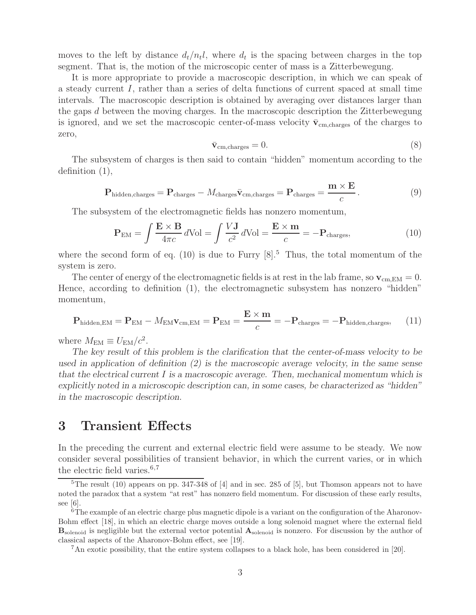moves to the left by distance  $d_t/n_t$ , where  $d_t$  is the spacing between charges in the top segment. That is, the motion of the microscopic center of mass is a Zitterbewegung.

It is more appropriate to provide a macroscopic description, in which we can speak of a steady current I, rather than a series of delta functions of current spaced at small time intervals. The macroscopic description is obtained by averaging over distances larger than the gaps d between the moving charges. In the macroscopic description the Zitterbewegung is ignored, and we set the macroscopic center-of-mass velocity  $\bar{v}_{cm, charges}$  of the charges to zero,

$$
\bar{\mathbf{v}}_{\rm cm, charges} = 0. \tag{8}
$$

The subsystem of charges is then said to contain "hidden" momentum according to the definition (1),

$$
\mathbf{P}_{\text{hidden,charges}} = \mathbf{P}_{\text{charges}} - M_{\text{charges}} \bar{\mathbf{v}}_{\text{cm,charges}} = \mathbf{P}_{\text{charges}} = \frac{\mathbf{m} \times \mathbf{E}}{c}.
$$
 (9)

The subsystem of the electromagnetic fields has nonzero momentum,

$$
\mathbf{P}_{\text{EM}} = \int \frac{\mathbf{E} \times \mathbf{B}}{4\pi c} d\text{Vol} = \int \frac{V \mathbf{J}}{c^2} d\text{Vol} = \frac{\mathbf{E} \times \mathbf{m}}{c} = -\mathbf{P}_{\text{charges}},\tag{10}
$$

where the second form of eq. (10) is due to Furry  $[8]$ <sup>5</sup>. Thus, the total momentum of the system is zero.

The center of energy of the electromagnetic fields is at rest in the lab frame, so  $\mathbf{v}_{cm,EM} = 0$ . Hence, according to definition (1), the electromagnetic subsystem has nonzero "hidden" momentum,

$$
\mathbf{P}_{\text{hidden,EM}} = \mathbf{P}_{\text{EM}} - M_{\text{EM}} \mathbf{v}_{\text{cm,EM}} = \mathbf{P}_{\text{EM}} = \frac{\mathbf{E} \times \mathbf{m}}{c} = -\mathbf{P}_{\text{charge}} = -\mathbf{P}_{\text{hidden,charges}},\tag{11}
$$

where  $M_{\text{EM}} \equiv U_{\text{EM}}/c^2$ .

*The key result of this problem is the clarification that the center-of-mass velocity to be used in application of definition (2) is the macroscopic average velocity, in the same sense that the electrical current* I *is a macroscopic average. Then, mechanical momentum which is explicitly noted in a microscopic description can, in some cases, be characterized as "hidden" in the macroscopic description.*

## **3 Transient Effects**

In the preceding the current and external electric field were assume to be steady. We now consider several possibilities of transient behavior, in which the current varies, or in which the electric field varies. $6,7$ 

 $5$ The result (10) appears on pp. 347-348 of [4] and in sec. 285 of [5], but Thomson appears not to have noted the paradox that a system "at rest" has nonzero field momentum. For discussion of these early results, see [6].

 $6$ The example of an electric charge plus magnetic dipole is a variant on the configuration of the Aharonov-Bohm effect [18], in which an electric charge moves outside a long solenoid magnet where the external field **B**solenoid is negligible but the external vector potential **A**solenoid is nonzero. For discussion by the author of classical aspects of the Aharonov-Bohm effect, see [19].

<sup>7</sup>An exotic possibility, that the entire system collapses to a black hole, has been considered in [20].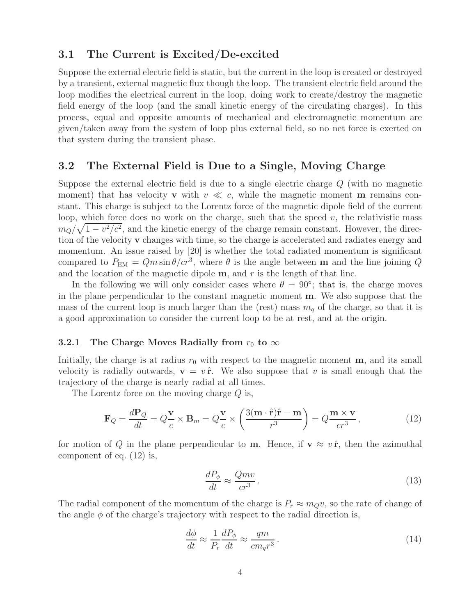## **3.1 The Current is Excited/De-excited**

Suppose the external electric field is static, but the current in the loop is created or destroyed by a transient, external magnetic flux though the loop. The transient electric field around the loop modifies the electrical current in the loop, doing work to create/destroy the magnetic field energy of the loop (and the small kinetic energy of the circulating charges). In this process, equal and opposite amounts of mechanical and electromagnetic momentum are given/taken away from the system of loop plus external field, so no net force is exerted on that system during the transient phase.

## **3.2 The External Field is Due to a Single, Moving Charge**

Suppose the external electric field is due to a single electric charge Q (with no magnetic moment) that has velocity **v** with  $v \ll c$ , while the magnetic moment **m** remains constant. This charge is subject to the Lorentz force of the magnetic dipole field of the current loop, which force does no work on the charge, such that the speed  $v$ , the relativistic mass  $m_Q/\sqrt{1-v^2/c^2}$ , and the kinetic energy of the charge remain constant. However, the direction of the velocity **v** changes with time, so the charge is accelerated and radiates energy and momentum. An issue raised by [20] is whether the total radiated momentum is significant compared to  $P_{EM} = Qm \sin \theta / cr^3$ , where  $\theta$  is the angle between **m** and the line joining Q and the location of the magnetic dipole  $\mathbf{m}$ , and  $r$  is the length of that line.

In the following we will only consider cases where  $\theta = 90^\circ$ ; that is, the charge moves in the plane perpendicular to the constant magnetic moment **m**. We also suppose that the mass of the current loop is much larger than the (rest) mass  $m_q$  of the charge, so that it is a good approximation to consider the current loop to be at rest, and at the origin.

### **3.2.1** The Charge Moves Radially from  $r_0$  to  $\infty$

Initially, the charge is at radius  $r_0$  with respect to the magnetic moment **m**, and its small velocity is radially outwards,  $\mathbf{v} = v \hat{\mathbf{r}}$ . We also suppose that v is small enough that the trajectory of the charge is nearly radial at all times.

The Lorentz force on the moving charge Q is,

$$
\mathbf{F}_Q = \frac{d\mathbf{P}_Q}{dt} = Q\frac{\mathbf{v}}{c} \times \mathbf{B}_m = Q\frac{\mathbf{v}}{c} \times \left(\frac{3(\mathbf{m}\cdot\hat{\mathbf{r}})\hat{\mathbf{r}} - \mathbf{m}}{r^3}\right) = Q\frac{\mathbf{m} \times \mathbf{v}}{cr^3},\tag{12}
$$

for motion of Q in the plane perpendicular to **m**. Hence, if  $\mathbf{v} \approx v \hat{\mathbf{r}}$ , then the azimuthal component of eq. (12) is,

$$
\frac{dP_{\phi}}{dt} \approx \frac{Qmv}{cr^3} \,. \tag{13}
$$

The radial component of the momentum of the charge is  $P_r \approx m_Q v$ , so the rate of change of the angle  $\phi$  of the charge's trajectory with respect to the radial direction is,

$$
\frac{d\phi}{dt} \approx \frac{1}{P_r} \frac{dP_\phi}{dt} \approx \frac{qm}{cm_qr^3} \,. \tag{14}
$$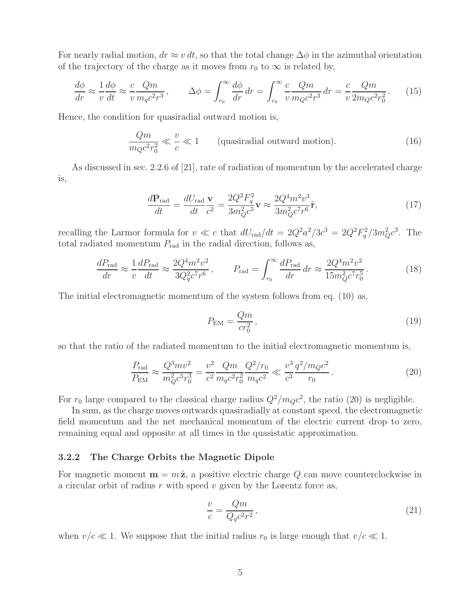For nearly radial motion,  $dr \approx v dt$ , so that the total change  $\Delta \phi$  in the azimuthal orientation of the trajectory of the charge as it moves from  $r_0$  to  $\infty$  is related by,

$$
\frac{d\phi}{dr} \approx \frac{1}{v} \frac{d\phi}{dt} \approx \frac{c}{v} \frac{Qm}{m_q c^2 r^3}, \qquad \Delta\phi = \int_{r_0}^{\infty} \frac{d\phi}{dr} dr = \int_{r_0}^{\infty} \frac{c}{v} \frac{Qm}{m_Q c^2 r^3} dr = \frac{c}{v} \frac{Qm}{2m_Q c^2 r_0^2}.
$$
 (15)

Hence, the condition for quasiradial outward motion is,

$$
\frac{Qm}{m_Q c^2 r_0^2} \ll \frac{v}{c} \ll 1
$$
 (quasiradial outward motion). (16)

As discussed in sec. 2.2.6 of [21], rate of radiation of momentum by the accelerated charge is,

$$
\frac{d\mathbf{P}_{\text{rad}}}{dt} = \frac{dU_{\text{rad}}}{dt}\frac{\mathbf{v}}{c^2} = \frac{2Q^2F_q^2}{3m_Q^2c^5}\mathbf{v} \approx \frac{2Q^4m^2v^3}{3m_Q^2c^7r^6}\hat{\mathbf{r}},\tag{17}
$$

recalling the Larmor formula for  $v \ll c$  that  $dU_{\text{rad}}/dt = 2Q^2a^2/3c^3 = 2Q^2F_q^2/3m_Q^2c^3$ . The total radiated momentum  $P_{\text{rad}}$  in the radial direction, follows as,

$$
\frac{dP_{\rm rad}}{dr} \approx \frac{1}{v} \frac{dP_{\rm rad}}{dt} \approx \frac{2Q^4 m^2 v^2}{3Q_q^2 c^7 r^6}, \qquad P_{\rm rad} = \int_{r_0}^{\infty} \frac{dP_{\rm rad}}{dr} dr \approx \frac{2Q^4 m^2 v^2}{15m_Q^2 c^7 r_0^5}.
$$
 (18)

The initial electromagnetic momentum of the system follows from eq. (10) as,

$$
P_{\rm EM} = \frac{Qm}{cr_0^2},\tag{19}
$$

so that the ratio of the radiated momentum to the initial electromagnetic momentum is,

$$
\frac{P_{\text{rad}}}{P_{\text{EM}}} \approx \frac{Q^3 m v^2}{m_Q^2 c^5 r_0^3} = \frac{v^2}{c^2} \frac{Qm}{m_q c^2 r_0^2} \frac{Q^2 / r_0}{m_q c^2} \ll \frac{v^3}{c^3} \frac{q^2 / m_Q c^2}{r_0} \,. \tag{20}
$$

For  $r_0$  large compared to the classical charge radius  $Q^2/m_Qc^2$ , the ratio (20) is negligible.

In sum, as the charge moves outwards quasiradially at constant speed, the electromagnetic field momentum and the net mechanical momentum of the electric current drop to zero, remaining equal and opposite at all times in the quasistatic approximation.

### **3.2.2 The Charge Orbits the Magnetic Dipole**

For magnetic moment  $\mathbf{m} = m \hat{\mathbf{z}}$ , a positive electric charge Q can move counterclockwise in a circular orbit of radius  $r$  with speed  $v$  given by the Lorentz force as,

$$
\frac{v}{c} = \frac{Qm}{Q_q c^2 r^2},\tag{21}
$$

when  $v/c \ll 1$ . We suppose that the initial radius  $r_0$  is large enough that  $v/c \ll 1$ .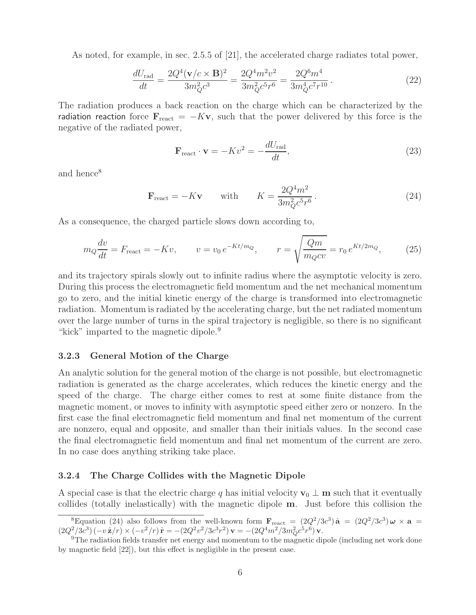As noted, for example, in sec. 2.5.5 of [21], the accelerated charge radiates total power,

$$
\frac{dU_{\rm rad}}{dt} = \frac{2Q^4(\mathbf{v}/c \times \mathbf{B})^2}{3m_Q^2 c^3} = \frac{2Q^4 m^2 v^2}{3m_Q^2 c^5 r^6} = \frac{2Q^6 m^4}{3m_Q^4 c^7 r^{10}}.
$$
\n(22)

The radiation produces a back reaction on the charge which can be characterized by the radiation reaction force  $\mathbf{F}_{\text{react}} = -K\mathbf{v}$ , such that the power delivered by this force is the negative of the radiated power,

$$
\mathbf{F}_{\text{react}} \cdot \mathbf{v} = -Kv^2 = -\frac{dU_{\text{rad}}}{dt},\tag{23}
$$

and hence<sup>8</sup>

$$
\mathbf{F}_{\text{react}} = -K\mathbf{v} \qquad \text{with} \qquad K = \frac{2Q^4m^2}{3m_Q^2c^5r^6} \,. \tag{24}
$$

As a consequence, the charged particle slows down according to,

$$
m_Q \frac{dv}{dt} = F_{\text{react}} = -Kv, \qquad v = v_0 \, e^{-Kt/m_Q}, \qquad r = \sqrt{\frac{Qm}{m_Q c v}} = r_0 \, e^{Kt/2m_Q}, \tag{25}
$$

and its trajectory spirals slowly out to infinite radius where the asymptotic velocity is zero. During this process the electromagnetic field momentum and the net mechanical momentum go to zero, and the initial kinetic energy of the charge is transformed into electromagnetic radiation. Momentum is radiated by the accelerating charge, but the net radiated momentum over the large number of turns in the spiral trajectory is negligible, so there is no significant "kick" imparted to the magnetic dipole.<sup>9</sup>

### **3.2.3 General Motion of the Charge**

An analytic solution for the general motion of the charge is not possible, but electromagnetic radiation is generated as the charge accelerates, which reduces the kinetic energy and the speed of the charge. The charge either comes to rest at some finite distance from the magnetic moment, or moves to infinity with asymptotic speed either zero or nonzero. In the first case the final electromagnetic field momentum and final net momentum of the current are nonzero, equal and opposite, and smaller than their initials values. In the second case the final electromagnetic field momentum and final net momentum of the current are zero. In no case does anything striking take place.

### **3.2.4 The Charge Collides with the Magnetic Dipole**

A special case is that the electric charge q has initial velocity  $\mathbf{v}_0 \perp \mathbf{m}$  such that it eventually collides (totally inelastically) with the magnetic dipole **m**. Just before this collision the

<sup>&</sup>lt;sup>8</sup>Equation (24) also follows from the well-known form  $\mathbf{F}_{\text{react}} = (2Q^2/3c^3)\,\dot{\mathbf{a}} = (2Q^2/3c^3)\,\omega \times \mathbf{a} =$  $(2Q^2/3c^3)(-v\hat{\mathbf{z}}/r) \times (-v^2/r)\hat{\mathbf{r}} = -(2Q^2v^2/3c^3r^2)\mathbf{v} = -(2Q^4m^2/3m_Q^2c^5r^6)\mathbf{v}$ .<br><sup>9</sup>The radiation fields transfer net energy and momentum to the magnetic dipole (including net work done

by magnetic field [22]), but this effect is negligible in the present case.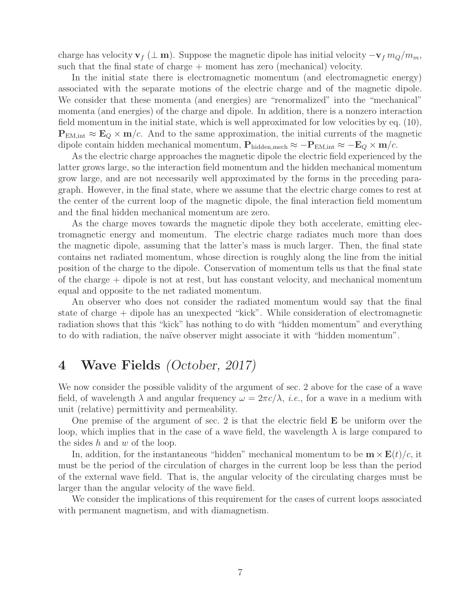charge has velocity  $\mathbf{v}_f$  ( $\perp$  **m**). Suppose the magnetic dipole has initial velocity  $-\mathbf{v}_f m_Q/m_m$ , such that the final state of charge + moment has zero (mechanical) velocity.

In the initial state there is electromagnetic momentum (and electromagnetic energy) associated with the separate motions of the electric charge and of the magnetic dipole. We consider that these momenta (and energies) are "renormalized" into the "mechanical" momenta (and energies) of the charge and dipole. In addition, there is a nonzero interaction field momentum in the initial state, which is well approximated for low velocities by eq. (10),  $P_{EM,int} \approx E_Q \times m/c$ . And to the same approximation, the initial currents of the magnetic dipole contain hidden mechanical momentum,  $P_{hidden,mech} \approx -P_{EM,int} \approx -E_Q \times m/c$ .

As the electric charge approaches the magnetic dipole the electric field experienced by the latter grows large, so the interaction field momentum and the hidden mechanical momentum grow large, and are not necessarily well approximated by the forms in the preceding paragraph. However, in the final state, where we assume that the electric charge comes to rest at the center of the current loop of the magnetic dipole, the final interaction field momentum and the final hidden mechanical momentum are zero.

As the charge moves towards the magnetic dipole they both accelerate, emitting electromagnetic energy and momentum. The electric charge radiates much more than does the magnetic dipole, assuming that the latter's mass is much larger. Then, the final state contains net radiated momentum, whose direction is roughly along the line from the initial position of the charge to the dipole. Conservation of momentum tells us that the final state of the charge + dipole is not at rest, but has constant velocity, and mechanical momentum equal and opposite to the net radiated momentum.

An observer who does not consider the radiated momentum would say that the final state of charge + dipole has an unexpected "kick". While consideration of electromagnetic radiation shows that this "kick" has nothing to do with "hidden momentum" and everything to do with radiation, the naïve observer might associate it with "hidden momentum".

# **4 Wave Fields** *(October, 2017)*

We now consider the possible validity of the argument of sec. 2 above for the case of a wave field, of wavelength  $\lambda$  and angular frequency  $\omega = 2\pi c/\lambda$ , *i.e.*, for a wave in a medium with unit (relative) permittivity and permeability.

One premise of the argument of sec. 2 is that the electric field **E** be uniform over the loop, which implies that in the case of a wave field, the wavelength  $\lambda$  is large compared to the sides  $h$  and  $w$  of the loop.

In, addition, for the instantaneous "hidden" mechanical momentum to be  $\mathbf{m} \times \mathbf{E}(t)/c$ , it must be the period of the circulation of charges in the current loop be less than the period of the external wave field. That is, the angular velocity of the circulating charges must be larger than the angular velocity of the wave field.

We consider the implications of this requirement for the cases of current loops associated with permanent magnetism, and with diamagnetism.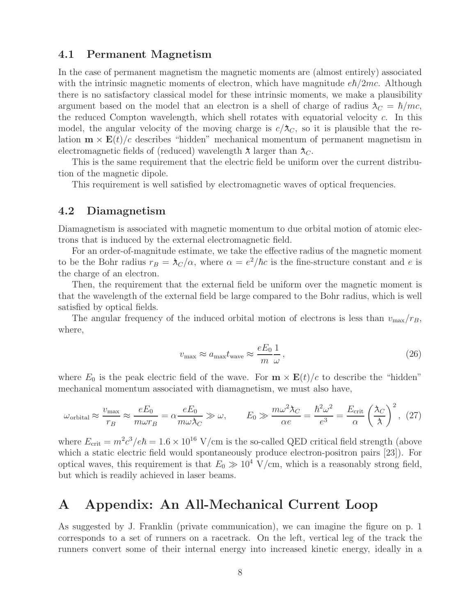## **4.1 Permanent Magnetism**

In the case of permanent magnetism the magnetic moments are (almost entirely) associated with the intrinsic magnetic moments of electron, which have magnitude  $e\hbar/2mc$ . Although there is no satisfactory classical model for these intrinsic moments, we make a plausibility argument based on the model that an electron is a shell of charge of radius  $\lambda_C = \hbar/mc$ , the reduced Compton wavelength, which shell rotates with equatorial velocity  $c$ . In this model, the angular velocity of the moving charge is  $c/\lambda_C$ , so it is plausible that the relation  $\mathbf{m} \times \mathbf{E}(t)/c$  describes "hidden" mechanical momentum of permanent magnetism in electromagnetic fields of (reduced) wavelength  $\lambda$  larger than  $\lambda_C$ .

This is the same requirement that the electric field be uniform over the current distribution of the magnetic dipole.

This requirement is well satisfied by electromagnetic waves of optical frequencies.

## **4.2 Diamagnetism**

Diamagnetism is associated with magnetic momentum to due orbital motion of atomic electrons that is induced by the external electromagnetic field.

For an order-of-magnitude estimate, we take the effective radius of the magnetic moment to be the Bohr radius  $r_B = \lambda_C/\alpha$ , where  $\alpha = e^2/\hbar c$  is the fine-structure constant and e is the charge of an electron.

Then, the requirement that the external field be uniform over the magnetic moment is that the wavelength of the external field be large compared to the Bohr radius, which is well satisfied by optical fields.

The angular frequency of the induced orbital motion of electrons is less than  $v_{\text{max}}/r_B$ , where,

$$
v_{\text{max}} \approx a_{\text{max}} t_{\text{wave}} \approx \frac{eE_0}{m} \frac{1}{\omega},\tag{26}
$$

where  $E_0$  is the peak electric field of the wave. For  $\mathbf{m} \times \mathbf{E}(t)/c$  to describe the "hidden" mechanical momentum associated with diamagnetism, we must also have,

$$
\omega_{\text{orbital}} \approx \frac{v_{\text{max}}}{r_B} \approx \frac{eE_0}{m\omega r_B} = \alpha \frac{eE_0}{m\omega \lambda_C} \gg \omega, \qquad E_0 \gg \frac{m\omega^2 \lambda_C}{\alpha e} = \frac{\hbar^2 \omega^2}{e^3} = \frac{E_{\text{crit}}}{\alpha} \left(\frac{\lambda_C}{\lambda}\right)^2, \tag{27}
$$

where  $E_{\text{crit}} = m^2 c^3 / e \hbar = 1.6 \times 10^{16} \text{ V/cm}$  is the so-called QED critical field strength (above which a static electric field would spontaneously produce electron-positron pairs [23]). For optical waves, this requirement is that  $E_0 \gg 10^4$  V/cm, which is a reasonably strong field, but which is readily achieved in laser beams.

## **A Appendix: An All-Mechanical Current Loop**

As suggested by J. Franklin (private communication), we can imagine the figure on p. 1 corresponds to a set of runners on a racetrack. On the left, vertical leg of the track the runners convert some of their internal energy into increased kinetic energy, ideally in a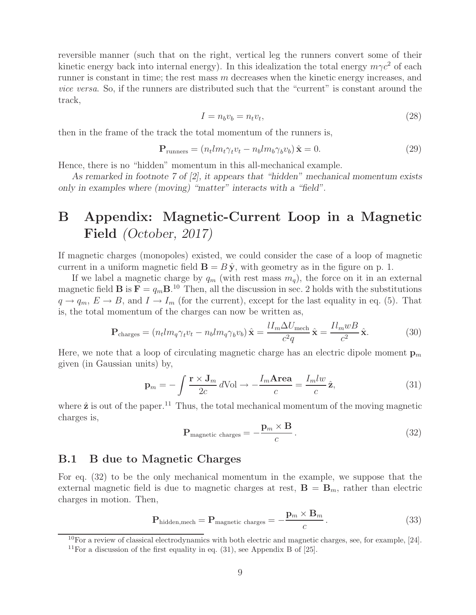reversible manner (such that on the right, vertical leg the runners convert some of their kinetic energy back into internal energy). In this idealization the total energy  $m\gamma c^2$  of each runner is constant in time; the rest mass  $m$  decreases when the kinetic energy increases, and *vice versa*. So, if the runners are distributed such that the "current" is constant around the track,

$$
I = n_b v_b = n_t v_t,\tag{28}
$$

then in the frame of the track the total momentum of the runners is,

$$
\mathbf{P}_{\text{runners}} = (n_t l m_t \gamma_t v_t - n_b l m_b \gamma_b v_b) \,\hat{\mathbf{x}} = 0. \tag{29}
$$

Hence, there is no "hidden" momentum in this all-mechanical example.

*As remarked in footnote 7 of [2], it appears that "hidden" mechanical momentum exists only in examples where (moving) "matter" interacts with a "field".*

# **B Appendix: Magnetic-Current Loop in a Magnetic Field** *(October, 2017)*

If magnetic charges (monopoles) existed, we could consider the case of a loop of magnetic current in a uniform magnetic field  $\mathbf{B} = B \hat{\mathbf{y}}$ , with geometry as in the figure on p. 1.

If we label a magnetic charge by  $q_m$  (with rest mass  $m_q$ ), the force on it in an external magnetic field **B** is  $\mathbf{F} = q_m \mathbf{B}$ .<sup>10</sup> Then, all the discussion in sec. 2 holds with the substitutions  $q \to q_m$ ,  $E \to B$ , and  $I \to I_m$  (for the current), except for the last equality in eq. (5). That is, the total momentum of the charges can now be written as,

$$
\mathbf{P}_{\text{charges}} = (n_t l m_q \gamma_t v_t - n_b l m_q \gamma_b v_b) \hat{\mathbf{x}} = \frac{l I_m \Delta U_{\text{mech}}}{c^2 q} \hat{\mathbf{x}} = \frac{l l_m w B}{c^2} \hat{\mathbf{x}}.
$$
 (30)

Here, we note that a loop of circulating magnetic charge has an electric dipole moment  $\mathbf{p}_m$ given (in Gaussian units) by,

$$
\mathbf{p}_m = -\int \frac{\mathbf{r} \times \mathbf{J}_m}{2c} d\text{Vol} \to -\frac{I_m \mathbf{Area}}{c} = \frac{I_m l w}{c} \hat{\mathbf{z}},\tag{31}
$$

where  $\hat{\mathbf{z}}$  is out of the paper.<sup>11</sup> Thus, the total mechanical momentum of the moving magnetic charges is,

$$
\mathbf{P}_{\text{magnetic charges}} = -\frac{\mathbf{p}_m \times \mathbf{B}}{c} \,. \tag{32}
$$

## **B.1 B due to Magnetic Charges**

For eq. (32) to be the only mechanical momentum in the example, we suppose that the external magnetic field is due to magnetic charges at rest,  $\mathbf{B} = \mathbf{B}_m$ , rather than electric charges in motion. Then,

$$
\mathbf{P}_{\text{hidden,mech}} = \mathbf{P}_{\text{magnetic charges}} = -\frac{\mathbf{p}_m \times \mathbf{B}_m}{c} \,. \tag{33}
$$

 $10$ For a review of classical electrodynamics with both electric and magnetic charges, see, for example, [24]. <sup>11</sup>For a discussion of the first equality in eq.  $(31)$ , see Appendix B of [25].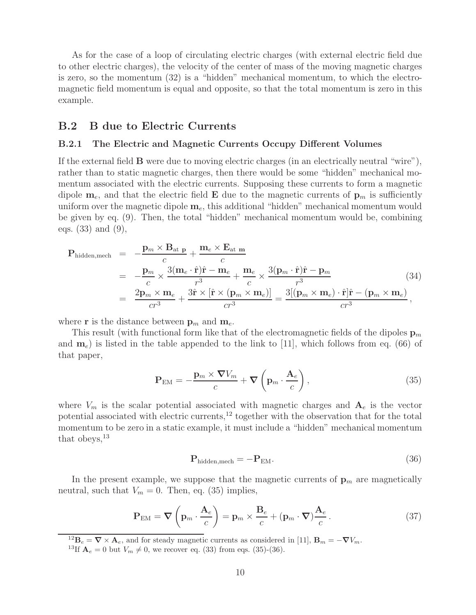As for the case of a loop of circulating electric charges (with external electric field due to other electric charges), the velocity of the center of mass of the moving magnetic charges is zero, so the momentum (32) is a "hidden" mechanical momentum, to which the electromagnetic field momentum is equal and opposite, so that the total momentum is zero in this example.

## **B.2 B due to Electric Currents**

### **B.2.1 The Electric and Magnetic Currents Occupy Different Volumes**

If the external field **B** were due to moving electric charges (in an electrically neutral "wire"), rather than to static magnetic charges, then there would be some "hidden" mechanical momentum associated with the electric currents. Supposing these currents to form a magnetic dipole  $\mathbf{m}_e$ , and that the electric field **E** due to the magnetic currents of  $\mathbf{p}_m$  is sufficiently uniform over the magnetic dipole  $\mathbf{m}_e$ , this additional "hidden" mechanical momentum would be given by eq. (9). Then, the total "hidden" mechanical momentum would be, combining eqs. (33) and (9),

$$
\mathbf{P}_{\text{hidden,mech}} = -\frac{\mathbf{p}_m \times \mathbf{B}_{\text{at } \mathbf{p}}}{c} + \frac{\mathbf{m}_e \times \mathbf{E}_{\text{at } \mathbf{m}}}{c}
$$
\n
$$
= -\frac{\mathbf{p}_m}{c} \times \frac{3(\mathbf{m}_e \cdot \hat{\mathbf{r}})\hat{\mathbf{r}} - \mathbf{m}_e}{r^3} + \frac{\mathbf{m}_e}{c} \times \frac{3(\mathbf{p}_m \cdot \hat{\mathbf{r}})\hat{\mathbf{r}} - \mathbf{p}_m}{r^3}
$$
\n
$$
= \frac{2\mathbf{p}_m \times \mathbf{m}_e}{cr^3} + \frac{3\hat{\mathbf{r}} \times [\hat{\mathbf{r}} \times (\mathbf{p}_m \times \mathbf{m}_e)]}{cr^3} = \frac{3[(\mathbf{p}_m \times \mathbf{m}_e) \cdot \hat{\mathbf{r}}]\hat{\mathbf{r}} - (\mathbf{p}_m \times \mathbf{m}_e)}{cr^3},
$$
\n(34)

where **r** is the distance between  $\mathbf{p}_m$  and  $\mathbf{m}_e$ .

This result (with functional form like that of the electromagnetic fields of the dipoles  $\mathbf{p}_m$ and  $\mathbf{m}_e$ ) is listed in the table appended to the link to [11], which follows from eq. (66) of that paper,

$$
\mathbf{P}_{\text{EM}} = -\frac{\mathbf{p}_m \times \mathbf{\nabla} V_m}{c} + \mathbf{\nabla} \left( \mathbf{p}_m \cdot \frac{\mathbf{A}_e}{c} \right),\tag{35}
$$

where  $V_m$  is the scalar potential associated with magnetic charges and  $A_e$  is the vector potential associated with electric currents,<sup>12</sup> together with the observation that for the total momentum to be zero in a static example, it must include a "hidden" mechanical momentum that obeys, $^{13}$ 

$$
\mathbf{P}_{\text{hidden,mech}} = -\mathbf{P}_{\text{EM}}.\tag{36}
$$

In the present example, we suppose that the magnetic currents of  $\mathbf{p}_m$  are magnetically neutral, such that  $V_m = 0$ . Then, eq. (35) implies,

$$
\mathbf{P}_{\text{EM}} = \nabla \left( \mathbf{p}_m \cdot \frac{\mathbf{A}_e}{c} \right) = \mathbf{p}_m \times \frac{\mathbf{B}_e}{c} + (\mathbf{p}_m \cdot \nabla) \frac{\mathbf{A}_e}{c} \,. \tag{37}
$$

<sup>12</sup> $\mathbf{B}_e = \nabla \times \mathbf{A}_e$ , and for steady magnetic currents as considered in [11],  $\mathbf{B}_m = -\nabla V_m$ .<br><sup>13</sup>If  $\mathbf{A}_e = 0$  but  $V_m \neq 0$ , we recover eq. (33) from eqs. (35)-(36).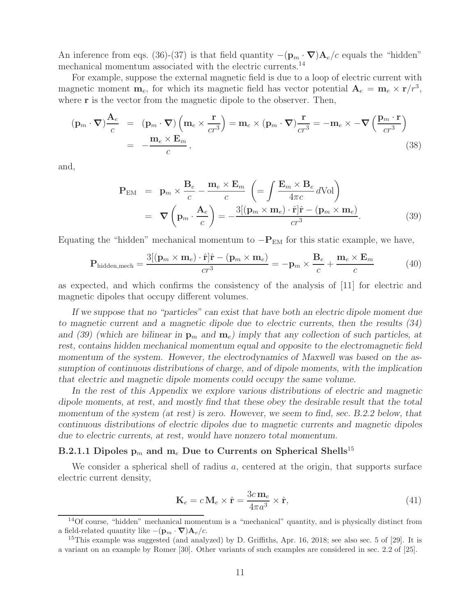An inference from eqs. (36)-(37) is that field quantity  $-(\mathbf{p}_m \cdot \nabla) \mathbf{A}_e/c$  equals the "hidden" mechanical momentum associated with the electric currents.<sup>14</sup>

For example, suppose the external magnetic field is due to a loop of electric current with magnetic moment  $\mathbf{m}_e$ , for which its magnetic field has vector potential  $\mathbf{A}_e = \mathbf{m}_e \times \mathbf{r}/r^3$ , where **r** is the vector from the magnetic dipole to the observer. Then,

$$
(\mathbf{p}_m \cdot \nabla) \frac{\mathbf{A}_e}{c} = (\mathbf{p}_m \cdot \nabla) (\mathbf{m}_e \times \frac{\mathbf{r}}{cr^3}) = \mathbf{m}_e \times (\mathbf{p}_m \cdot \nabla) \frac{\mathbf{r}}{cr^3} = -\mathbf{m}_e \times -\nabla (\frac{\mathbf{p}_m \cdot \mathbf{r}}{cr^3})
$$
  
= 
$$
-\frac{\mathbf{m}_e \times \mathbf{E}_m}{c},
$$
 (38)

and,

$$
\mathbf{P}_{\text{EM}} = \mathbf{p}_m \times \frac{\mathbf{B}_e}{c} - \frac{\mathbf{m}_e \times \mathbf{E}_m}{c} \left( = \int \frac{\mathbf{E}_m \times \mathbf{B}_e}{4\pi c} d\text{Vol} \right)
$$

$$
= \nabla \left( \mathbf{p}_m \cdot \frac{\mathbf{A}_e}{c} \right) = -\frac{3[(\mathbf{p}_m \times \mathbf{m}_e) \cdot \hat{\mathbf{r}}] \hat{\mathbf{r}} - (\mathbf{p}_m \times \mathbf{m}_e)}{cr^3}.
$$
(39)

Equating the "hidden" mechanical momentum to  $-\mathbf{P}_{EM}$  for this static example, we have,

$$
\mathbf{P}_{\text{hidden,mech}} = \frac{3[(\mathbf{p}_m \times \mathbf{m}_e) \cdot \hat{\mathbf{r}}] \hat{\mathbf{r}} - (\mathbf{p}_m \times \mathbf{m}_e)}{cr^3} = -\mathbf{p}_m \times \frac{\mathbf{B}_e}{c} + \frac{\mathbf{m}_e \times \mathbf{E}_m}{c}
$$
(40)

as expected, and which confirms the consistency of the analysis of [11] for electric and magnetic dipoles that occupy different volumes.

*If we suppose that no "particles" can exist that have both an electric dipole moment due to magnetic current and a magnetic dipole due to electric currents, then the results (34) and (39) (which are bilinear in*  $\mathbf{p}_m$  *and*  $\mathbf{m}_e$ ) *imply that any collection of such particles, at rest, contains hidden mechanical momentum equal and opposite to the electromagnetic field momentum of the system. However, the electrodynamics of Maxwell was based on the assumption of continuous distributions of charge, and of dipole moments, with the implication that electric and magnetic dipole moments could occupy the same volume.*

*In the rest of this Appendix we explore various distributions of electric and magnetic dipole moments, at rest, and mostly find that these obey the desirable result that the total momentum of the system (at rest) is zero. However, we seem to find, sec. B.2.2 below, that continuous distributions of electric dipoles due to magnetic currents and magnetic dipoles due to electric currents, at rest, would have nonzero total momentum.*

### **B.2.1.1 Dipoles**  $p_m$  **and**  $m_e$  **Due to Currents on Spherical Shells<sup>15</sup>**

We consider a spherical shell of radius  $a$ , centered at the origin, that supports surface electric current density,

$$
\mathbf{K}_e = c \, \mathbf{M}_e \times \hat{\mathbf{r}} = \frac{3c \, \mathbf{m}_e}{4\pi a^3} \times \hat{\mathbf{r}},\tag{41}
$$

<sup>14</sup>Of course, "hidden" mechanical momentum is a "mechanical" quantity, and is physically distinct from a field-related quantity like  $-(\mathbf{p}_m \cdot \nabla) \mathbf{A}_e/c$ .<br><sup>15</sup>This example was suggested (and analyzed) by D. Griffiths, Apr. 16, 2018; see also sec. 5 of [29]. It is

a variant on an example by Romer [30]. Other variants of such examples are considered in sec. 2.2 of [25].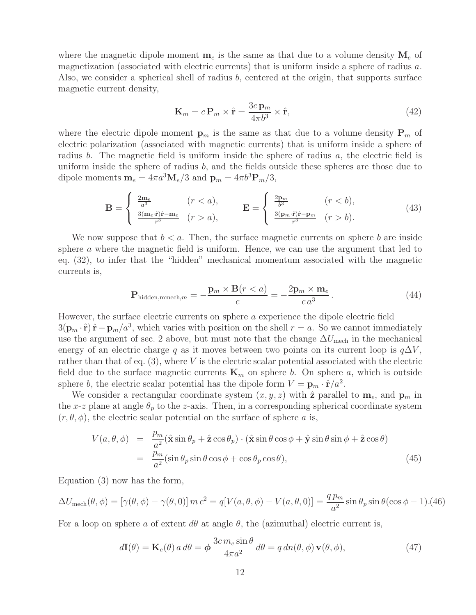where the magnetic dipole moment  $\mathbf{m}_e$  is the same as that due to a volume density  $\mathbf{M}_e$  of magnetization (associated with electric currents) that is uniform inside a sphere of radius a. Also, we consider a spherical shell of radius b, centered at the origin, that supports surface magnetic current density,

$$
\mathbf{K}_m = c \, \mathbf{P}_m \times \hat{\mathbf{r}} = \frac{3c \, \mathbf{p}_m}{4\pi b^3} \times \hat{\mathbf{r}},\tag{42}
$$

where the electric dipole moment  $\mathbf{p}_m$  is the same as that due to a volume density  $\mathbf{P}_m$  of electric polarization (associated with magnetic currents) that is uniform inside a sphere of radius b. The magnetic field is uniform inside the sphere of radius  $a$ , the electric field is uniform inside the sphere of radius  $b$ , and the fields outside these spheres are those due to dipole moments  $\mathbf{m}_e = 4\pi a^3 \mathbf{M}_e/3$  and  $\mathbf{p}_m = 4\pi b^3 \mathbf{P}_m/3$ ,

$$
\mathbf{B} = \begin{cases} \frac{2\mathbf{m}_e}{a^3} & (r < a), \\ \frac{3(\mathbf{m}_e \cdot \hat{\mathbf{r}})\hat{\mathbf{r}} - \mathbf{m}_e}{r^3} & (r > a), \end{cases} \qquad \mathbf{E} = \begin{cases} \frac{2\mathbf{p}_m}{b^3} & (r < b), \\ \frac{3(\mathbf{p}_m \cdot \hat{\mathbf{r}})\hat{\mathbf{r}} - \mathbf{p}_m}{r^3} & (r > b). \end{cases}
$$
(43)

We now suppose that  $b < a$ . Then, the surface magnetic currents on sphere b are inside sphere a where the magnetic field is uniform. Hence, we can use the argument that led to eq. (32), to infer that the "hidden" mechanical momentum associated with the magnetic currents is,

$$
\mathbf{P}_{\text{hidden,mmech},m} = -\frac{\mathbf{p}_m \times \mathbf{B}(r < a)}{c} = -\frac{2\mathbf{p}_m \times \mathbf{m}_e}{c\,a^3} \,. \tag{44}
$$

However, the surface electric currents on sphere a experience the dipole electric field  $3(\mathbf{p}_m \cdot \hat{\mathbf{r}}) \hat{\mathbf{r}} - \mathbf{p}_m/a^3$ , which varies with position on the shell  $r = a$ . So we cannot immediately use the argument of sec. 2 above, but must note that the change  $\Delta U_{\text{mech}}$  in the mechanical energy of an electric charge q as it moves between two points on its current loop is  $q\Delta V$ , rather than that of eq.  $(3)$ , where V is the electric scalar potential associated with the electric field due to the surface magnetic currents  $\mathbf{K}_m$  on sphere b. On sphere a, which is outside sphere b, the electric scalar potential has the dipole form  $V = \mathbf{p}_m \cdot \hat{\mathbf{r}}/a^2$ .

We consider a rectangular coordinate system  $(x, y, z)$  with  $\hat{z}$  parallel to  $\mathbf{m}_e$ , and  $\mathbf{p}_m$  in the x-z plane at angle  $\theta_p$  to the z-axis. Then, in a corresponding spherical coordinate system  $(r, \theta, \phi)$ , the electric scalar potential on the surface of sphere a is,

$$
V(a, \theta, \phi) = \frac{p_m}{a^2} (\hat{\mathbf{x}} \sin \theta_p + \hat{\mathbf{z}} \cos \theta_p) \cdot (\hat{\mathbf{x}} \sin \theta \cos \phi + \hat{\mathbf{y}} \sin \theta \sin \phi + \hat{\mathbf{z}} \cos \theta)
$$
  
= 
$$
\frac{p_m}{a^2} (\sin \theta_p \sin \theta \cos \phi + \cos \theta_p \cos \theta),
$$
(45)

Equation (3) now has the form,

$$
\Delta U_{\text{mech}}(\theta,\phi) = \left[\gamma(\theta,\phi) - \gamma(\theta,0)\right]m c^2 = q[V(a,\theta,\phi) - V(a,\theta,0)] = \frac{q p_m}{a^2}\sin\theta_p\sin\theta(\cos\phi - 1). (46)
$$

For a loop on sphere a of extent  $d\theta$  at angle  $\theta$ , the (azimuthal) electric current is,

$$
d\mathbf{I}(\theta) = \mathbf{K}_e(\theta) a d\theta = \phi \frac{3c m_e \sin \theta}{4\pi a^2} d\theta = q dn(\theta, \phi) \mathbf{v}(\theta, \phi),
$$
\n(47)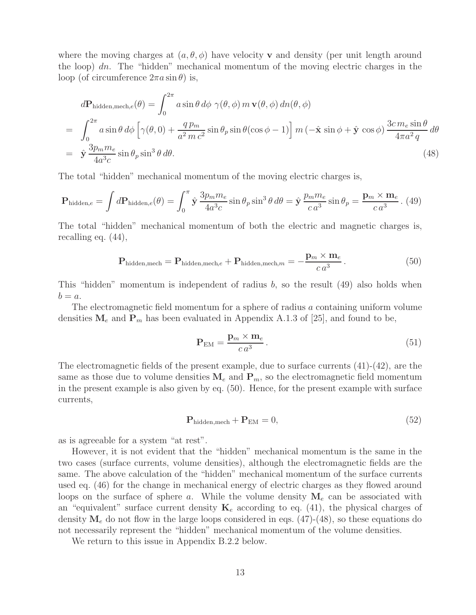where the moving charges at  $(a, \theta, \phi)$  have velocity **v** and density (per unit length around the loop)  $dn$ . The "hidden" mechanical momentum of the moving electric charges in the loop (of circumference  $2\pi a \sin \theta$ ) is,

$$
d\mathbf{P}_{\text{hidden,mech},e}(\theta) = \int_0^{2\pi} a \sin \theta \, d\phi \, \gamma(\theta,\phi) \, m \, \mathbf{v}(\theta,\phi) \, dn(\theta,\phi)
$$
  
= 
$$
\int_0^{2\pi} a \sin \theta \, d\phi \left[ \gamma(\theta,0) + \frac{q \, p_m}{a^2 \, m \, c^2} \sin \theta_p \sin \theta (\cos \phi - 1) \right] m \left( -\hat{\mathbf{x}} \sin \phi + \hat{\mathbf{y}} \cos \phi \right) \frac{3c \, m_e \sin \theta}{4\pi a^2 \, q} \, d\theta
$$
  
= 
$$
\hat{\mathbf{y}} \frac{3p_m m_e}{4a^3 c} \sin \theta_p \sin^3 \theta \, d\theta.
$$
 (48)

The total "hidden" mechanical momentum of the moving electric charges is,

$$
\mathbf{P}_{\text{hidden},e} = \int d\mathbf{P}_{\text{hidden},e}(\theta) = \int_0^{\pi} \hat{\mathbf{y}} \, \frac{3p_m m_e}{4a^3 c} \sin \theta_p \sin^3 \theta \, d\theta = \hat{\mathbf{y}} \, \frac{p_m m_e}{c \, a^3} \sin \theta_p = \frac{\mathbf{p}_m \times \mathbf{m}_e}{c \, a^3} . \tag{49}
$$

The total "hidden" mechanical momentum of both the electric and magnetic charges is, recalling eq. (44),

$$
\mathbf{P}_{\text{hidden,mech}} = \mathbf{P}_{\text{hidden,mech},e} + \mathbf{P}_{\text{hidden,mech},m} = -\frac{\mathbf{p}_m \times \mathbf{m}_e}{c \, a^3} \,. \tag{50}
$$

This "hidden" momentum is independent of radius  $b$ , so the result (49) also holds when  $b = a$ .

The electromagnetic field momentum for a sphere of radius a containing uniform volume densities  $M_e$  and  $P_m$  has been evaluated in Appendix A.1.3 of [25], and found to be,

$$
\mathbf{P}_{\text{EM}} = \frac{\mathbf{p}_m \times \mathbf{m}_e}{c a^3} \,. \tag{51}
$$

The electromagnetic fields of the present example, due to surface currents (41)-(42), are the same as those due to volume densities  $M_e$  and  $P_m$ , so the electromagnetic field momentum in the present example is also given by eq. (50). Hence, for the present example with surface currents,

$$
\mathbf{P}_{\text{hidden,mech}} + \mathbf{P}_{\text{EM}} = 0,\tag{52}
$$

as is agreeable for a system "at rest".

However, it is not evident that the "hidden" mechanical momentum is the same in the two cases (surface currents, volume densities), although the electromagnetic fields are the same. The above calculation of the "hidden" mechanical momentum of the surface currents used eq. (46) for the change in mechanical energy of electric charges as they flowed around loops on the surface of sphere a. While the volume density  $M_e$  can be associated with an "equivalent" surface current density  $\mathbf{K}_e$  according to eq. (41), the physical charges of density  $\mathbf{M}_e$  do not flow in the large loops considered in eqs. (47)-(48), so these equations do not necessarily represent the "hidden" mechanical momentum of the volume densities.

We return to this issue in Appendix B.2.2 below.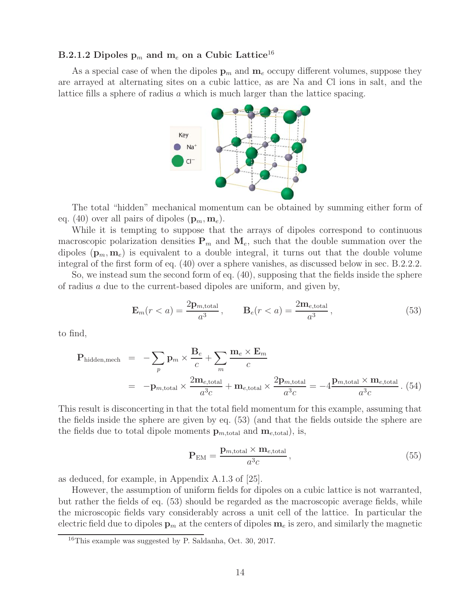## **B.2.1.2 Dipoles**  $p_m$  **and**  $m_e$  **on a Cubic Lattice<sup>16</sup>**

As a special case of when the dipoles  $\mathbf{p}_m$  and  $\mathbf{m}_e$  occupy different volumes, suppose they are arrayed at alternating sites on a cubic lattice, as are Na and Cl ions in salt, and the lattice fills a sphere of radius a which is much larger than the lattice spacing.



The total "hidden" mechanical momentum can be obtained by summing either form of eq. (40) over all pairs of dipoles  $(\mathbf{p}_m, \mathbf{m}_e)$ .

While it is tempting to suppose that the arrays of dipoles correspond to continuous macroscopic polarization densities  $P_m$  and  $M_e$ , such that the double summation over the dipoles  $(\mathbf{p}_m, \mathbf{m}_e)$  is equivalent to a double integral, it turns out that the double volume integral of the first form of eq. (40) over a sphere vanishes, as discussed below in sec. B.2.2.2.

So, we instead sum the second form of eq. (40), supposing that the fields inside the sphere of radius  $\alpha$  due to the current-based dipoles are uniform, and given by,

$$
\mathbf{E}_m(r < a) = \frac{2\mathbf{p}_{m,\text{total}}}{a^3}, \qquad \mathbf{B}_e(r < a) = \frac{2\mathbf{m}_{e,\text{total}}}{a^3},\tag{53}
$$

to find,

$$
\mathbf{P}_{\text{hidden,mech}} = -\sum_{p} \mathbf{p}_{m} \times \frac{\mathbf{B}_{e}}{c} + \sum_{m} \frac{\mathbf{m}_{e} \times \mathbf{E}_{m}}{c}
$$

$$
= -\mathbf{p}_{m,\text{total}} \times \frac{2\mathbf{m}_{e,\text{total}}}{a^{3}c} + \mathbf{m}_{e,\text{total}} \times \frac{2\mathbf{p}_{m,\text{total}}}{a^{3}c} = -4 \frac{\mathbf{p}_{m,\text{total}} \times \mathbf{m}_{e,\text{total}}}{a^{3}c}. (54)
$$

This result is disconcerting in that the total field momentum for this example, assuming that the fields inside the sphere are given by eq. (53) (and that the fields outside the sphere are the fields due to total dipole moments  $\mathbf{p}_{m,\text{total}}$  and  $\mathbf{m}_{e,\text{total}}$ , is,

$$
\mathbf{P}_{\rm EM} = \frac{\mathbf{p}_{m,\rm total} \times \mathbf{m}_{e,\rm total}}{a^3 c},\tag{55}
$$

as deduced, for example, in Appendix A.1.3 of [25].

However, the assumption of uniform fields for dipoles on a cubic lattice is not warranted, but rather the fields of eq. (53) should be regarded as the macroscopic average fields, while the microscopic fields vary considerably across a unit cell of the lattice. In particular the electric field due to dipoles  $\mathbf{p}_m$  at the centers of dipoles  $\mathbf{m}_e$  is zero, and similarly the magnetic

<sup>16</sup>This example was suggested by P. Saldanha, Oct. 30, 2017.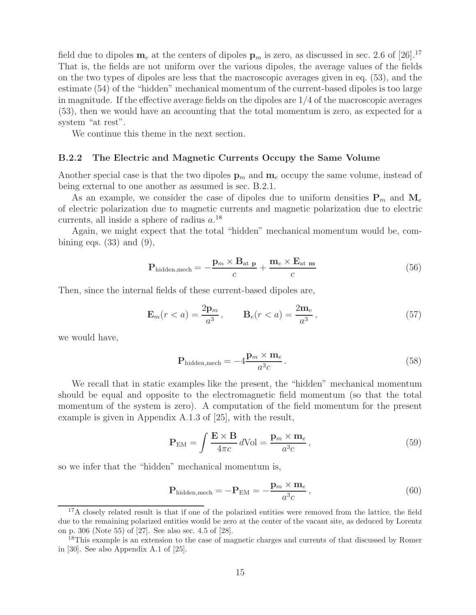field due to dipoles  $m_e$  at the centers of dipoles  $p_m$  is zero, as discussed in sec. 2.6 of [26].<sup>17</sup> That is, the fields are not uniform over the various dipoles, the average values of the fields on the two types of dipoles are less that the macroscopic averages given in eq. (53), and the estimate (54) of the "hidden" mechanical momentum of the current-based dipoles is too large in magnitude. If the effective average fields on the dipoles are  $1/4$  of the macroscopic averages (53), then we would have an accounting that the total momentum is zero, as expected for a system "at rest".

We continue this theme in the next section.

#### **B.2.2 The Electric and Magnetic Currents Occupy the Same Volume**

Another special case is that the two dipoles  $\mathbf{p}_m$  and  $\mathbf{m}_e$  occupy the same volume, instead of being external to one another as assumed is sec. B.2.1.

As an example, we consider the case of dipoles due to uniform densities  $P_m$  and  $M_e$ of electric polarization due to magnetic currents and magnetic polarization due to electric currents, all inside a sphere of radius  $a$ <sup>18</sup>

Again, we might expect that the total "hidden" mechanical momentum would be, combining eqs.  $(33)$  and  $(9)$ ,

$$
\mathbf{P}_{\text{hidden,mech}} = -\frac{\mathbf{p}_m \times \mathbf{B}_{\text{at } \mathbf{p}}}{c} + \frac{\mathbf{m}_e \times \mathbf{E}_{\text{at } \mathbf{m}}}{c} \tag{56}
$$

Then, since the internal fields of these current-based dipoles are,

$$
\mathbf{E}_m(r < a) = \frac{2\mathbf{p}_m}{a^3}, \qquad \mathbf{B}_e(r < a) = \frac{2\mathbf{m}_e}{a^3},\tag{57}
$$

we would have,

$$
\mathbf{P}_{\text{hidden,mech}} = -4 \frac{\mathbf{p}_m \times \mathbf{m}_e}{a^3 c} \,. \tag{58}
$$

We recall that in static examples like the present, the "hidden" mechanical momentum should be equal and opposite to the electromagnetic field momentum (so that the total momentum of the system is zero). A computation of the field momentum for the present example is given in Appendix A.1.3 of [25], with the result,

$$
\mathbf{P}_{\rm EM} = \int \frac{\mathbf{E} \times \mathbf{B}}{4\pi c} \, d\text{Vol} = \frac{\mathbf{p}_m \times \mathbf{m}_e}{a^3 c},\tag{59}
$$

so we infer that the "hidden" mechanical momentum is,

$$
\mathbf{P}_{\text{hidden,mech}} = -\mathbf{P}_{\text{EM}} = -\frac{\mathbf{p}_m \times \mathbf{m}_e}{a^3 c},\tag{60}
$$

<sup>&</sup>lt;sup>17</sup>A closely related result is that if one of the polarized entities were removed from the lattice, the field due to the remaining polarized entities would be zero at the center of the vacant site, as deduced by Lorentz on p. 306 (Note 55) of [27]. See also sec. 4.5 of [28].

<sup>18</sup>This example is an extension to the case of magnetic charges and currents of that discussed by Romer in [30]. See also Appendix A.1 of [25].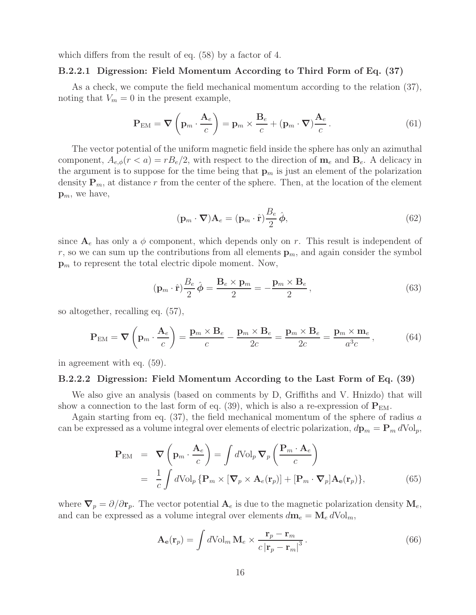which differs from the result of eq. (58) by a factor of 4.

#### **B.2.2.1 Digression: Field Momentum According to Third Form of Eq. (37)**

As a check, we compute the field mechanical momentum according to the relation (37), noting that  $V_m = 0$  in the present example,

$$
\mathbf{P}_{\text{EM}} = \boldsymbol{\nabla} \left( \mathbf{p}_m \cdot \frac{\mathbf{A}_e}{c} \right) = \mathbf{p}_m \times \frac{\mathbf{B}_e}{c} + (\mathbf{p}_m \cdot \boldsymbol{\nabla}) \frac{\mathbf{A}_e}{c}.
$$
 (61)

The vector potential of the uniform magnetic field inside the sphere has only an azimuthal component,  $A_{e,\phi}(r < a) = rB_e/2$ , with respect to the direction of  $\mathbf{m}_e$  and  $\mathbf{B}_e$ . A delicacy in the argument is to suppose for the time being that  $\mathbf{p}_m$  is just an element of the polarization density  $P_m$ , at distance r from the center of the sphere. Then, at the location of the element  $\mathbf{p}_m$ , we have,

$$
(\mathbf{p}_m \cdot \mathbf{\nabla}) \mathbf{A}_e = (\mathbf{p}_m \cdot \hat{\mathbf{r}}) \frac{B_e}{2} \hat{\boldsymbol{\phi}},
$$
\n(62)

since  $A_e$  has only a  $\phi$  component, which depends only on r. This result is independent of r, so we can sum up the contributions from all elements  $\mathbf{p}_m$ , and again consider the symbol **p**<sup>m</sup> to represent the total electric dipole moment. Now,

$$
(\mathbf{p}_m \cdot \hat{\mathbf{r}}) \frac{B_e}{2} \hat{\boldsymbol{\phi}} = \frac{\mathbf{B}_e \times \mathbf{p}_m}{2} = -\frac{\mathbf{p}_m \times \mathbf{B}_e}{2}, \qquad (63)
$$

so altogether, recalling eq. (57),

$$
\mathbf{P}_{\text{EM}} = \boldsymbol{\nabla} \left( \mathbf{p}_m \cdot \frac{\mathbf{A}_e}{c} \right) = \frac{\mathbf{p}_m \times \mathbf{B}_e}{c} - \frac{\mathbf{p}_m \times \mathbf{B}_e}{2c} = \frac{\mathbf{p}_m \times \mathbf{B}_e}{2c} = \frac{\mathbf{p}_m \times \mathbf{m}_e}{a^3 c},\tag{64}
$$

in agreement with eq. (59).

#### **B.2.2.2 Digression: Field Momentum According to the Last Form of Eq. (39)**

We also give an analysis (based on comments by D, Griffiths and V. Hnizdo) that will show a connection to the last form of eq. (39), which is also a re-expression of  $P_{EM}$ .

Again starting from eq.  $(37)$ , the field mechanical momentum of the sphere of radius a can be expressed as a volume integral over elements of electric polarization,  $d\mathbf{p}_m = \mathbf{P}_m d\text{Vol}_p$ ,

$$
\mathbf{P}_{\text{EM}} = \nabla \left( \mathbf{p}_m \cdot \frac{\mathbf{A}_e}{c} \right) = \int d\text{Vol}_p \, \nabla_p \left( \frac{\mathbf{P}_m \cdot \mathbf{A}_e}{c} \right)
$$
\n
$$
= \frac{1}{c} \int d\text{Vol}_p \left\{ \mathbf{P}_m \times \left[ \nabla_p \times \mathbf{A}_e(\mathbf{r}_p) \right] + \left[ \mathbf{P}_m \cdot \nabla_p \right] \mathbf{A}_e(\mathbf{r}_p) \right\},\tag{65}
$$

where  $\nabla_p = \partial/\partial \mathbf{r}_p$ . The vector potential  $\mathbf{A}_e$  is due to the magnetic polarization density  $\mathbf{M}_e$ , and can be expressed as a volume integral over elements  $d\mathbf{m}_e = \mathbf{M}_e d\text{Vol}_m$ ,

$$
\mathbf{A}_{\mathbf{e}}(\mathbf{r}_p) = \int d\mathrm{Vol}_m \, \mathbf{M}_e \times \frac{\mathbf{r}_p - \mathbf{r}_m}{c \, |\mathbf{r}_p - \mathbf{r}_m|^3} \,. \tag{66}
$$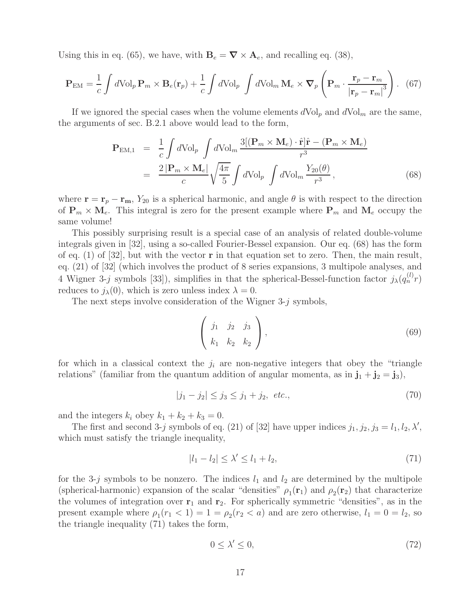Using this in eq. (65), we have, with  $\mathbf{B}_e = \nabla \times \mathbf{A}_e$ , and recalling eq. (38),

$$
\mathbf{P}_{\text{EM}} = \frac{1}{c} \int d\text{Vol}_p \, \mathbf{P}_m \times \mathbf{B}_e(\mathbf{r}_p) + \frac{1}{c} \int d\text{Vol}_p \, \int d\text{Vol}_m \, \mathbf{M}_e \times \nabla_p \left( \mathbf{P}_m \cdot \frac{\mathbf{r}_p - \mathbf{r}_m}{|\mathbf{r}_p - \mathbf{r}_m|^3} \right). \tag{67}
$$

If we ignored the special cases when the volume elements  $dVol_p$  and  $dVol_m$  are the same, the arguments of sec. B.2.1 above would lead to the form,

$$
\mathbf{P}_{\text{EM},1} = \frac{1}{c} \int d\text{Vol}_p \int d\text{Vol}_m \frac{3[(\mathbf{P}_m \times \mathbf{M}_e) \cdot \hat{\mathbf{r}}] \hat{\mathbf{r}} - (\mathbf{P}_m \times \mathbf{M}_e)}{r^3} \n= \frac{2|\mathbf{P}_m \times \mathbf{M}_e|}{c} \sqrt{\frac{4\pi}{5}} \int d\text{Vol}_p \int d\text{Vol}_m \frac{Y_{20}(\theta)}{r^3},
$$
\n(68)

where  $\mathbf{r} = \mathbf{r}_p - \mathbf{r}_m$ ,  $Y_{20}$  is a spherical harmonic, and angle  $\theta$  is with respect to the direction of  $P_m \times M_e$ . This integral is zero for the present example where  $P_m$  and  $M_e$  occupy the same volume!

This possibly surprising result is a special case of an analysis of related double-volume integrals given in [32], using a so-called Fourier-Bessel expansion. Our eq. (68) has the form of eq. (1) of [32], but with the vector **r** in that equation set to zero. Then, the main result, eq. (21) of [32] (which involves the product of 8 series expansions, 3 multipole analyses, and 4 Wigner 3-j symbols [33]), simplifies in that the spherical-Bessel-function factor  $j_{\lambda}(q_n^{(l)}r)$ reduces to  $j_{\lambda}(0)$ , which is zero unless index  $\lambda = 0$ .

The next steps involve consideration of the Wigner  $3-j$  symbols,

$$
\left(\begin{array}{ccc} j_1 & j_2 & j_3 \\ k_1 & k_2 & k_2 \end{array}\right),\tag{69}
$$

for which in a classical context the  $j_i$  are non-negative integers that obey the "triangle" relations" (familiar from the quantum addition of angular momenta, as in  $\mathbf{j}_1 + \mathbf{j}_2 = \mathbf{j}_3$ ),

$$
|j_1 - j_2| \le j_3 \le j_1 + j_2, \ etc., \tag{70}
$$

and the integers  $k_i$  obey  $k_1 + k_2 + k_3 = 0$ .

The first and second 3-j symbols of eq. (21) of [32] have upper indices  $j_1, j_2, j_3 = l_1, l_2, \lambda'$ , which must satisfy the triangle inequality,

$$
|l_1 - l_2| \le \lambda' \le l_1 + l_2,\tag{71}
$$

for the 3-j symbols to be nonzero. The indices  $l_1$  and  $l_2$  are determined by the multipole (spherical-harmonic) expansion of the scalar "densities"  $\rho_1(\mathbf{r}_1)$  and  $\rho_2(\mathbf{r}_2)$  that characterize the volumes of integration over  $r_1$  and  $r_2$ . For spherically symmetric "densities", as in the present example where  $\rho_1(r_1 < 1) = 1 = \rho_2(r_2 < a)$  and are zero otherwise,  $l_1 = 0 = l_2$ , so the triangle inequality (71) takes the form,

$$
0 \le \lambda' \le 0,\tag{72}
$$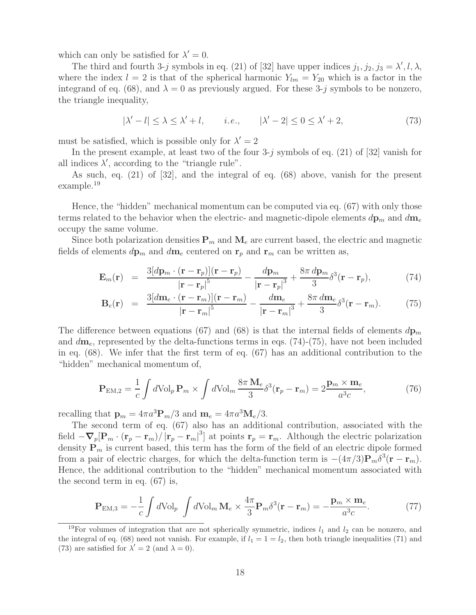which can only be satisfied for  $\lambda' = 0$ .

The third and fourth 3-j symbols in eq. (21) of [32] have upper indices  $j_1, j_2, j_3 = \lambda', l, \lambda,$ where the index  $l = 2$  is that of the spherical harmonic  $Y_{lm} = Y_{20}$  which is a factor in the integrand of eq. (68), and  $\lambda = 0$  as previously argued. For these 3-j symbols to be nonzero, the triangle inequality,

$$
|\lambda' - l| \le \lambda \le \lambda' + l, \qquad i.e., \qquad |\lambda' - 2| \le 0 \le \lambda' + 2,
$$
\n
$$
(73)
$$

must be satisfied, which is possible only for  $\lambda' = 2$ 

In the present example, at least two of the four  $3-j$  symbols of eq. (21) of [32] vanish for all indices  $\lambda'$ , according to the "triangle rule".

As such, eq. (21) of [32], and the integral of eq. (68) above, vanish for the present example.<sup>19</sup>

Hence, the "hidden" mechanical momentum can be computed via eq. (67) with only those terms related to the behavior when the electric- and magnetic-dipole elements  $d\mathbf{p}_m$  and  $d\mathbf{m}_e$ occupy the same volume.

Since both polarization densities  $P_m$  and  $M_e$  are current based, the electric and magnetic fields of elements  $d\mathbf{p}_m$  and  $d\mathbf{m}_e$  centered on  $\mathbf{r}_p$  and  $\mathbf{r}_m$  can be written as,

$$
\mathbf{E}_m(\mathbf{r}) = \frac{3[d\mathbf{p}_m \cdot (\mathbf{r} - \mathbf{r}_p)](\mathbf{r} - \mathbf{r}_p)}{|\mathbf{r} - \mathbf{r}_p|^5} - \frac{d\mathbf{p}_m}{|\mathbf{r} - \mathbf{r}_p|^3} + \frac{8\pi \, d\mathbf{p}_m}{3} \delta^3(\mathbf{r} - \mathbf{r}_p), \tag{74}
$$

$$
\mathbf{B}_e(\mathbf{r}) = \frac{3[d\mathbf{m}_e \cdot (\mathbf{r} - \mathbf{r}_m)](\mathbf{r} - \mathbf{r}_m)}{|\mathbf{r} - \mathbf{r}_m|^5} - \frac{d\mathbf{m}_e}{|\mathbf{r} - \mathbf{r}_m|^3} + \frac{8\pi d\mathbf{m}_e}{3}\delta^3(\mathbf{r} - \mathbf{r}_m).
$$
 (75)

The difference between equations (67) and (68) is that the internal fields of elements  $dp_m$ and d**m**e, represented by the delta-functions terms in eqs. (74)-(75), have not been included in eq. (68). We infer that the first term of eq. (67) has an additional contribution to the "hidden" mechanical momentum of,

$$
\mathbf{P}_{\mathrm{EM},2} = \frac{1}{c} \int d\mathrm{Vol}_p \, \mathbf{P}_m \times \int d\mathrm{Vol}_m \, \frac{8\pi \, \mathbf{M}_e}{3} \delta^3(\mathbf{r}_p - \mathbf{r}_m) = 2 \frac{\mathbf{p}_m \times \mathbf{m}_e}{a^3 c},\tag{76}
$$

recalling that  $\mathbf{p}_m = 4\pi a^3 \mathbf{P}_m/3$  and  $\mathbf{m}_e = 4\pi a^3 \mathbf{M}_e/3$ .

The second term of eq. (67) also has an additional contribution, associated with the field  $-\nabla_p[\mathbf{P}_m \cdot (\mathbf{r}_p - \mathbf{r}_m)/|\mathbf{r}_p - \mathbf{r}_m|^3]$  at points  $\mathbf{r}_p = \mathbf{r}_m$ . Although the electric polarization density  $P_m$  is current based, this term has the form of the field of an electric dipole formed from a pair of electric charges, for which the delta-function term is  $-(4\pi/3)\mathbf{P}_m\delta^3(\mathbf{r}-\mathbf{r}_m)$ . Hence, the additional contribution to the "hidden" mechanical momentum associated with the second term in eq. (67) is,

$$
\mathbf{P}_{\text{EM},3} = -\frac{1}{c} \int d\text{Vol}_p \int d\text{Vol}_m \, \mathbf{M}_e \times \frac{4\pi}{3} \mathbf{P}_m \delta^3(\mathbf{r} - \mathbf{r}_m) = -\frac{\mathbf{p}_m \times \mathbf{m}_e}{a^3 c}.
$$
 (77)

<sup>&</sup>lt;sup>19</sup>For volumes of integration that are not spherically symmetric, indices  $l_1$  and  $l_2$  can be nonzero, and the integral of eq. (68) need not vanish. For example, if  $l_1 = 1 = l_2$ , then both triangle inequalities (71) and (73) are satisfied for  $\lambda' = 2$  (and  $\lambda = 0$ ).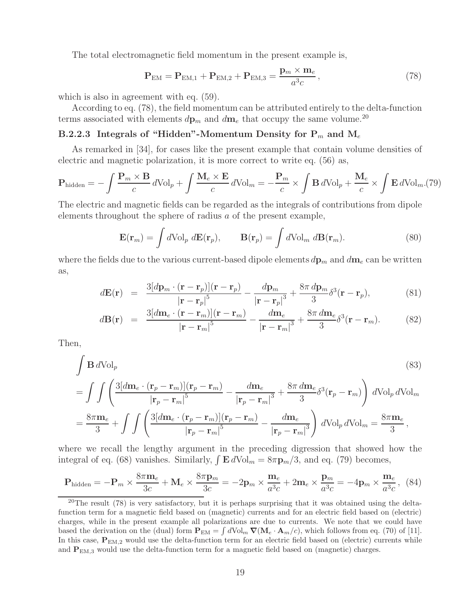The total electromagnetic field momentum in the present example is,

$$
\mathbf{P}_{\text{EM}} = \mathbf{P}_{\text{EM},1} + \mathbf{P}_{\text{EM},2} + \mathbf{P}_{\text{EM},3} = \frac{\mathbf{p}_m \times \mathbf{m}_e}{a^3 c},\tag{78}
$$

which is also in agreement with eq.  $(59)$ .

According to eq. (78), the field momentum can be attributed entirely to the delta-function terms associated with elements  $d\mathbf{p}_m$  and  $d\mathbf{m}_e$  that occupy the same volume.<sup>20</sup>

### **B.2.2.3** Integrals of "Hidden"-Momentum Density for  $P_m$  and  $M_e$

As remarked in [34], for cases like the present example that contain volume densities of electric and magnetic polarization, it is more correct to write eq. (56) as,

$$
\mathbf{P}_{\text{hidden}} = -\int \frac{\mathbf{P}_m \times \mathbf{B}}{c} d\text{Vol}_p + \int \frac{\mathbf{M}_e \times \mathbf{E}}{c} d\text{Vol}_m = -\frac{\mathbf{P}_m}{c} \times \int \mathbf{B} d\text{Vol}_p + \frac{\mathbf{M}_e}{c} \times \int \mathbf{E} d\text{Vol}_m.(79)
$$

The electric and magnetic fields can be regarded as the integrals of contributions from dipole elements throughout the sphere of radius a of the present example,

$$
\mathbf{E}(\mathbf{r}_m) = \int d\mathrm{Vol}_p \, d\mathbf{E}(\mathbf{r}_p), \qquad \mathbf{B}(\mathbf{r}_p) = \int d\mathrm{Vol}_m \, d\mathbf{B}(\mathbf{r}_m). \tag{80}
$$

where the fields due to the various current-based dipole elements  $d\mathbf{p}_m$  and  $d\mathbf{m}_e$  can be written as,

$$
d\mathbf{E}(\mathbf{r}) = \frac{3[d\mathbf{p}_m \cdot (\mathbf{r} - \mathbf{r}_p)](\mathbf{r} - \mathbf{r}_p)}{|\mathbf{r} - \mathbf{r}_p|^5} - \frac{d\mathbf{p}_m}{|\mathbf{r} - \mathbf{r}_p|^3} + \frac{8\pi \, d\mathbf{p}_m}{3} \delta^3(\mathbf{r} - \mathbf{r}_p),
$$
(81)

$$
d\mathbf{B}(\mathbf{r}) = \frac{3[d\mathbf{m}_e \cdot (\mathbf{r} - \mathbf{r}_m)](\mathbf{r} - \mathbf{r}_m)}{|\mathbf{r} - \mathbf{r}_m|^5} - \frac{d\mathbf{m}_e}{|\mathbf{r} - \mathbf{r}_m|^3} + \frac{8\pi d\mathbf{m}_e}{3}\delta^3(\mathbf{r} - \mathbf{r}_m).
$$
 (82)

Then,

$$
\int \mathbf{B} d\mathrm{Vol}_{p} \qquad (83)
$$
\n
$$
= \int \int \left( \frac{3[d\mathbf{m}_{e} \cdot (\mathbf{r}_{p} - \mathbf{r}_{m})](\mathbf{r}_{p} - \mathbf{r}_{m})}{|\mathbf{r}_{p} - \mathbf{r}_{m}|^{5}} - \frac{d\mathbf{m}_{e}}{|\mathbf{r}_{p} - \mathbf{r}_{m}|^{3}} + \frac{8\pi d\mathbf{m}_{e}}{3} \delta^{3}(\mathbf{r}_{p} - \mathbf{r}_{m}) \right) d\mathrm{Vol}_{p} d\mathrm{Vol}_{m}
$$
\n
$$
= \frac{8\pi \mathbf{m}_{e}}{3} + \int \int \left( \frac{3[d\mathbf{m}_{e} \cdot (\mathbf{r}_{p} - \mathbf{r}_{m})](\mathbf{r}_{p} - \mathbf{r}_{m})}{|\mathbf{r}_{p} - \mathbf{r}_{m}|^{5}} - \frac{d\mathbf{m}_{e}}{|\mathbf{r}_{p} - \mathbf{r}_{m}|^{3}} \right) d\mathrm{Vol}_{p} d\mathrm{Vol}_{m} = \frac{8\pi \mathbf{m}_{e}}{3},
$$
\n(83)

where we recall the lengthy argument in the preceding digression that showed how the integral of eq. (68) vanishes. Similarly,  $\int \mathbf{E} dVol_m = 8\pi \mathbf{p}_m/3$ , and eq. (79) becomes,

$$
\mathbf{P}_{\text{hidden}} = -\mathbf{P}_m \times \frac{8\pi \mathbf{m}_e}{3c} + \mathbf{M}_e \times \frac{8\pi \mathbf{p}_m}{3c} = -2\mathbf{p}_m \times \frac{\mathbf{m}_e}{a^3c} + 2\mathbf{m}_e \times \frac{\mathbf{p}_m}{a^3c} = -4\mathbf{p}_m \times \frac{\mathbf{m}_e}{a^3c},
$$
 (84)

<sup>&</sup>lt;sup>20</sup>The result  $(78)$  is very satisfactory, but it is perhaps surprising that it was obtained using the deltafunction term for a magnetic field based on (magnetic) currents and for an electric field based on (electric) charges, while in the present example all polarizations are due to currents. We note that we could have based the derivation on the (dual) form  $\mathbf{P}_{EM} = \int d \text{Vol}_m \, \nabla (\mathbf{M}_e \cdot \mathbf{A}_m/c)$ , which follows from eq. (70) of [11]. In this case,  $P_{EM,2}$  would use the delta-function term for an electric field based on (electric) currents while and  $P_{EM,3}$  would use the delta-function term for a magnetic field based on (magnetic) charges.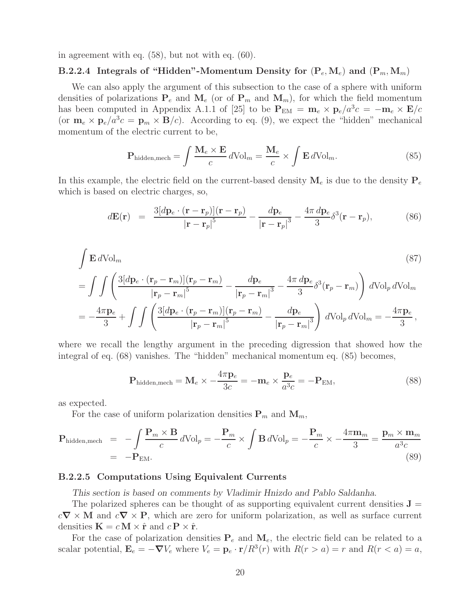in agreement with eq. (58), but not with eq. (60).

## **B.2.2.4** Integrals of "Hidden"-Momentum Density for  $(P_e, M_e)$  and  $(P_m, M_m)$ "

We can also apply the argument of this subsection to the case of a sphere with uniform densities of polarizations  $P_e$  and  $M_e$  (or of  $P_m$  and  $M_m$ ), for which the field momentum has been computed in Appendix A.1.1 of [25] to be  $P_{EM} = m_e \times p_e/a^3c = -m_e \times E/c$ (or  $\mathbf{m}_e \times \mathbf{p}_e/a^3c = \mathbf{p}_m \times \mathbf{B}/c$ ). According to eq. (9), we expect the "hidden" mechanical momentum of the electric current to be,

$$
\mathbf{P}_{\text{hidden,mech}} = \int \frac{\mathbf{M}_e \times \mathbf{E}}{c} d\text{Vol}_m = \frac{\mathbf{M}_e}{c} \times \int \mathbf{E} d\text{Vol}_m.
$$
 (85)

In this example, the electric field on the current-based density  $M_e$  is due to the density  $P_e$ which is based on electric charges, so,

$$
d\mathbf{E}(\mathbf{r}) = \frac{3[d\mathbf{p}_e \cdot (\mathbf{r} - \mathbf{r}_p)](\mathbf{r} - \mathbf{r}_p)}{|\mathbf{r} - \mathbf{r}_p|^5} - \frac{d\mathbf{p}_e}{|\mathbf{r} - \mathbf{r}_p|^3} - \frac{4\pi d\mathbf{p}_e}{3}\delta^3(\mathbf{r} - \mathbf{r}_p),
$$
(86)

$$
\int \mathbf{E} dVol_m \qquad (87)
$$
\n
$$
= \int \int \left( \frac{3[dp_e \cdot (\mathbf{r}_p - \mathbf{r}_m)](\mathbf{r}_p - \mathbf{r}_m)}{|\mathbf{r}_p - \mathbf{r}_m|^5} - \frac{dp_e}{|\mathbf{r}_p - \mathbf{r}_m|^3} - \frac{4\pi dp_e}{3} \delta^3(\mathbf{r}_p - \mathbf{r}_m) \right) dVol_p dVol_m
$$
\n
$$
= -\frac{4\pi \mathbf{p}_e}{3} + \int \int \left( \frac{3[dp_e \cdot (\mathbf{r}_p - \mathbf{r}_m)](\mathbf{r}_p - \mathbf{r}_m)}{|\mathbf{r}_p - \mathbf{r}_m|^5} - \frac{dp_e}{|\mathbf{r}_p - \mathbf{r}_m|^3} \right) dVol_p dVol_m = -\frac{4\pi \mathbf{p}_e}{3},
$$
\n(87)

where we recall the lengthy argument in the preceding digression that showed how the integral of eq. (68) vanishes. The "hidden" mechanical momentum eq. (85) becomes,

$$
\mathbf{P}_{\text{hidden,mech}} = \mathbf{M}_e \times -\frac{4\pi \mathbf{p}_e}{3c} = -\mathbf{m}_e \times \frac{\mathbf{p}_e}{a^3c} = -\mathbf{P}_{\text{EM}},\tag{88}
$$

as expected.

For the case of uniform polarization densities  $P_m$  and  $M_m$ ,

$$
\mathbf{P}_{\text{hidden,mech}} = -\int \frac{\mathbf{P}_m \times \mathbf{B}}{c} d\text{Vol}_p = -\frac{\mathbf{P}_m}{c} \times \int \mathbf{B} d\text{Vol}_p = -\frac{\mathbf{P}_m}{c} \times -\frac{4\pi \mathbf{m}_m}{3} = \frac{\mathbf{p}_m \times \mathbf{m}_m}{a^3 c}
$$
\n
$$
= -\mathbf{P}_{\text{EM}}.\tag{89}
$$

### **B.2.2.5 Computations Using Equivalent Currents**

*This section is based on comments by Vladimir Hnizdo and Pablo Saldanha.*

The polarized spheres can be thought of as supporting equivalent current densities  $J =$ <sup>c</sup>*<sup>∇</sup>* <sup>×</sup> **<sup>M</sup>** and <sup>c</sup>*<sup>∇</sup>* <sup>×</sup> **<sup>P</sup>**, which are zero for uniform polarization, as well as surface current densities  $\mathbf{K} = c \mathbf{M} \times \hat{\mathbf{r}}$  and  $c \mathbf{P} \times \hat{\mathbf{r}}$ .

For the case of polarization densities  $P_e$  and  $M_e$ , the electric field can be related to a scalar potential,  $\mathbf{E}_e = -\nabla V_e$  where  $V_e = \mathbf{p}_e \cdot \mathbf{r}/R^3(r)$  with  $R(r>a) = r$  and  $R(r < a) = a$ ,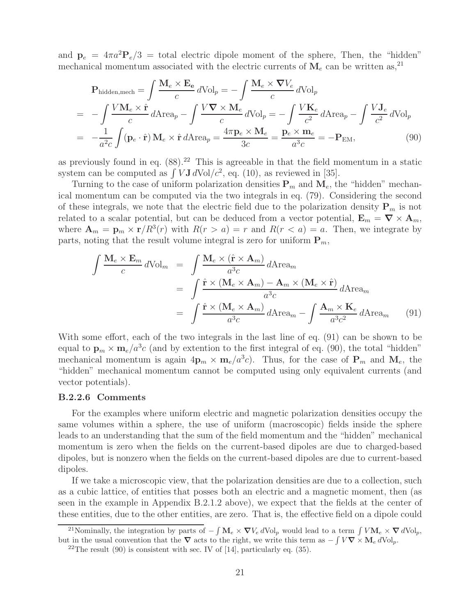and  $\mathbf{p}_e = 4\pi a^2 \mathbf{P}_e/3 = \text{total electric dipole moment of the sphere, Then, the "hidden" }$ mechanical momentum associated with the electric currents of  $M_e$  can be written as,<sup>21</sup>

$$
\mathbf{P}_{\text{hidden,mech}} = \int \frac{\mathbf{M}_e \times \mathbf{E}_e}{c} d\text{Vol}_p = -\int \frac{\mathbf{M}_e \times \nabla V_e}{c} d\text{Vol}_p
$$
\n
$$
= -\int \frac{V \mathbf{M}_e \times \hat{\mathbf{r}}}{c} d\text{Area}_p - \int \frac{V \nabla \times \mathbf{M}_e}{c} d\text{Vol}_p = -\int \frac{V \mathbf{K}_e}{c^2} d\text{Area}_p - \int \frac{V \mathbf{J}_e}{c^2} d\text{Vol}_p
$$
\n
$$
= -\frac{1}{a^2 c} \int (\mathbf{p}_e \cdot \hat{\mathbf{r}}) \mathbf{M}_e \times \hat{\mathbf{r}} d\text{Area}_p = \frac{4\pi \mathbf{p}_e \times \mathbf{M}_e}{3c} = \frac{\mathbf{p}_e \times \mathbf{m}_e}{a^3 c} = -\mathbf{P}_{\text{EM}},\tag{90}
$$

as previously found in eq.  $(88)$ .<sup>22</sup> This is agreeable in that the field momentum in a static system can be computed as  $\int V \mathbf{J} dVol/c^2$ , eq. (10), as reviewed in [35].

Turning to the case of uniform polarization densities  $P_m$  and  $M_e$ , the "hidden" mechanical momentum can be computed via the two integrals in eq. (79). Considering the second of these integrals, we note that the electric field due to the polarization density  $\mathbf{P}_m$  is not related to a scalar potential, but can be deduced from a vector potential,  $\mathbf{E}_m = \nabla \times \mathbf{A}_m$ , where  $\mathbf{A}_m = \mathbf{p}_m \times \mathbf{r}/R^3(r)$  with  $R(r>a) = r$  and  $R(r a) = a$ . Then, we integrate by parts, noting that the result volume integral is zero for uniform  $P_m$ ,

$$
\int \frac{\mathbf{M}_e \times \mathbf{E}_m}{c} d\text{Vol}_m = \int \frac{\mathbf{M}_e \times (\hat{\mathbf{r}} \times \mathbf{A}_m)}{a^3 c} d\text{Area}_m
$$
\n
$$
= \int \frac{\hat{\mathbf{r}} \times (\mathbf{M}_e \times \mathbf{A}_m) - \mathbf{A}_m \times (\mathbf{M}_e \times \hat{\mathbf{r}})}{a^3 c} d\text{Area}_m
$$
\n
$$
= \int \frac{\hat{\mathbf{r}} \times (\mathbf{M}_e \times \mathbf{A}_m)}{a^3 c} d\text{Area}_m - \int \frac{\mathbf{A}_m \times \mathbf{K}_e}{a^3 c^2} d\text{Area}_m \qquad (91)
$$

With some effort, each of the two integrals in the last line of eq. (91) can be shown to be equal to  $\mathbf{p}_m \times \mathbf{m}_e/a^3c$  (and by extention to the first integral of eq. (90), the total "hidden" mechanical momentum is again  $4\mathbf{p}_m \times \mathbf{m}_e/a^3c$ . Thus, for the case of  $\mathbf{P}_m$  and  $\mathbf{M}_e$ , the "hidden" mechanical momentum cannot be computed using only equivalent currents (and vector potentials).

### **B.2.2.6 Comments**

For the examples where uniform electric and magnetic polarization densities occupy the same volumes within a sphere, the use of uniform (macroscopic) fields inside the sphere leads to an understanding that the sum of the field momentum and the "hidden" mechanical momentum is zero when the fields on the current-based dipoles are due to charged-based dipoles, but is nonzero when the fields on the current-based dipoles are due to current-based dipoles.

If we take a microscopic view, that the polarization densities are due to a collection, such as a cubic lattice, of entities that posses both an electric and a magnetic moment, then (as seen in the example in Appendix B.2.1.2 above), we expect that the fields at the center of these entities, due to the other entities, are zero. That is, the effective field on a dipole could

<sup>&</sup>lt;sup>21</sup>Nominally, the integration by parts of  $-\int M_e \times \nabla V_e dVol_p$  would lead to a term  $\int V M_e \times \nabla dVol_p$ , but in the usual convention that the  $\nabla$  acts to the right, we write this term as  $-\int V \nabla \times \mathbf{M}_e dVol_p$ .<br><sup>22</sup>The result (90) is consistent with sec. IV of [14], particularly eq. (35).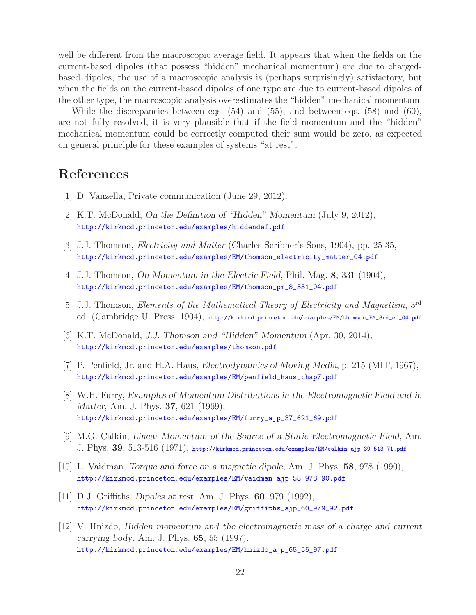well be different from the macroscopic average field. It appears that when the fields on the current-based dipoles (that possess "hidden" mechanical momentum) are due to chargedbased dipoles, the use of a macroscopic analysis is (perhaps surprisingly) satisfactory, but when the fields on the current-based dipoles of one type are due to current-based dipoles of the other type, the macroscopic analysis overestimates the "hidden" mechanical momentum.

While the discrepancies between eqs. (54) and (55), and between eqs. (58) and (60), are not fully resolved, it is very plausible that if the field momentum and the "hidden" mechanical momentum could be correctly computed their sum would be zero, as expected on general principle for these examples of systems "at rest".

## **References**

- [1] D. Vanzella, Private communication (June 29, 2012).
- [2] K.T. McDonald, *On the Definition of "Hidden" Momentum* (July 9, 2012), http://kirkmcd.princeton.edu/examples/hiddendef.pdf
- [3] J.J. Thomson, *Electricity and Matter* (Charles Scribner's Sons, 1904), pp. 25-35, http://kirkmcd.princeton.edu/examples/EM/thomson\_electricity\_matter\_04.pdf
- [4] J.J. Thomson, *On Momentum in the Electric Field*, Phil. Mag. **8**, 331 (1904), http://kirkmcd.princeton.edu/examples/EM/thomson\_pm\_8\_331\_04.pdf
- [5] J.J. Thomson, *Elements of the Mathematical Theory of Electricity and Magnetism*, 3rd ed. (Cambridge U. Press, 1904), http://kirkmcd.princeton.edu/examples/EM/thomson\_EM\_3rd\_ed\_04.pdf
- [6] K.T. McDonald, *J.J. Thomson and "Hidden" Momentum* (Apr. 30, 2014), http://kirkmcd.princeton.edu/examples/thomson.pdf
- [7] P. Penfield, Jr. and H.A. Haus, *Electrodynamics of Moving Media*, p. 215 (MIT, 1967), http://kirkmcd.princeton.edu/examples/EM/penfield\_haus\_chap7.pdf
- [8] W.H. Furry, *Examples of Momentum Distributions in the Electromagnetic Field and in Matter*, Am. J. Phys. **37**, 621 (1969), http://kirkmcd.princeton.edu/examples/EM/furry\_ajp\_37\_621\_69.pdf
- [9] M.G. Calkin, *Linear Momentum of the Source of a Static Electromagnetic Field*, Am. J. Phys. **39**, 513-516 (1971), http://kirkmcd.princeton.edu/examples/EM/calkin\_ajp\_39\_513\_71.pdf
- [10] L. Vaidman, *Torque and force on a magnetic dipole*, Am. J. Phys. **58**, 978 (1990), http://kirkmcd.princeton.edu/examples/EM/vaidman\_ajp\_58\_978\_90.pdf
- [11] D.J. Griffiths, *Dipoles at rest*, Am. J. Phys. **60**, 979 (1992), http://kirkmcd.princeton.edu/examples/EM/griffiths\_ajp\_60\_979\_92.pdf
- [12] V. Hnizdo, *Hidden momentum and the electromagnetic mass of a charge and current carrying body*, Am. J. Phys. **65**, 55 (1997), http://kirkmcd.princeton.edu/examples/EM/hnizdo\_ajp\_65\_55\_97.pdf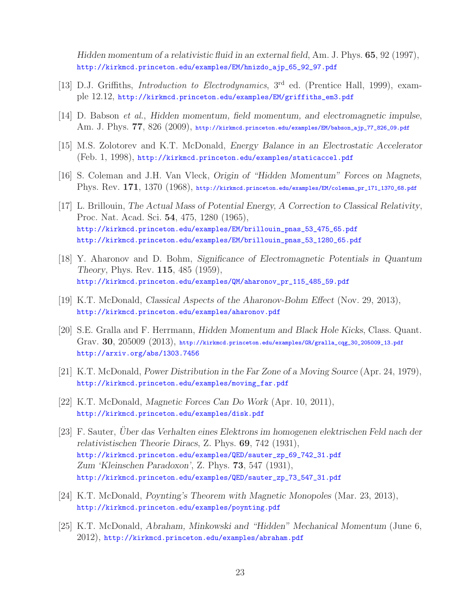*Hidden momentum of a relativistic fluid in an external field*, Am. J. Phys. **65**, 92 (1997), http://kirkmcd.princeton.edu/examples/EM/hnizdo\_ajp\_65\_92\_97.pdf

- [13] D.J. Griffiths, *Introduction to Electrodynamics*, 3rd ed. (Prentice Hall, 1999), example 12.12, http://kirkmcd.princeton.edu/examples/EM/griffiths\_em3.pdf
- [14] D. Babson *et al.*, *Hidden momentum, field momentum, and electromagnetic impulse*, Am. J. Phys. **77**, 826 (2009), http://kirkmcd.princeton.edu/examples/EM/babson\_ajp\_77\_826\_09.pdf
- [15] M.S. Zolotorev and K.T. McDonald, *Energy Balance in an Electrostatic Accelerator* (Feb. 1, 1998), http://kirkmcd.princeton.edu/examples/staticaccel.pdf
- [16] S. Coleman and J.H. Van Vleck, *Origin of "Hidden Momentum" Forces on Magnets*, Phys. Rev. **171**, 1370 (1968), http://kirkmcd.princeton.edu/examples/EM/coleman\_pr\_171\_1370\_68.pdf
- [17] L. Brillouin, *The Actual Mass of Potential Energy, A Correction to Classical Relativity*, Proc. Nat. Acad. Sci. **54**, 475, 1280 (1965), http://kirkmcd.princeton.edu/examples/EM/brillouin\_pnas\_53\_475\_65.pdf http://kirkmcd.princeton.edu/examples/EM/brillouin\_pnas\_53\_1280\_65.pdf
- [18] Y. Aharonov and D. Bohm, *Significance of Electromagnetic Potentials in Quantum Theory*, Phys. Rev. **115**, 485 (1959), http://kirkmcd.princeton.edu/examples/QM/aharonov\_pr\_115\_485\_59.pdf
- [19] K.T. McDonald, *Classical Aspects of the Aharonov-Bohm Effect* (Nov. 29, 2013), http://kirkmcd.princeton.edu/examples/aharonov.pdf
- [20] S.E. Gralla and F. Herrmann, *Hidden Momentum and Black Hole Kicks*, Class. Quant. Grav. **30**, 205009 (2013), http://kirkmcd.princeton.edu/examples/GR/gralla\_cqg\_30\_205009\_13.pdf http://arxiv.org/abs/1303.7456
- [21] K.T. McDonald, *Power Distribution in the Far Zone of a Moving Source* (Apr. 24, 1979), http://kirkmcd.princeton.edu/examples/moving\_far.pdf
- [22] K.T. McDonald, *Magnetic Forces Can Do Work* (Apr. 10, 2011), http://kirkmcd.princeton.edu/examples/disk.pdf
- [23] F. Sauter, *Über das Verhalten eines Elektrons im homogenen elektrischen Feld nach der relativistischen Theorie Diracs*, Z. Phys. **69**, 742 (1931), http://kirkmcd.princeton.edu/examples/QED/sauter\_zp\_69\_742\_31.pdf *Zum 'Kleinschen Paradoxon'*, Z. Phys. **73**, 547 (1931), http://kirkmcd.princeton.edu/examples/QED/sauter\_zp\_73\_547\_31.pdf
- [24] K.T. McDonald, *Poynting's Theorem with Magnetic Monopoles* (Mar. 23, 2013), http://kirkmcd.princeton.edu/examples/poynting.pdf
- [25] K.T. McDonald, *Abraham, Minkowski and "Hidden" Mechanical Momentum* (June 6, 2012), http://kirkmcd.princeton.edu/examples/abraham.pdf